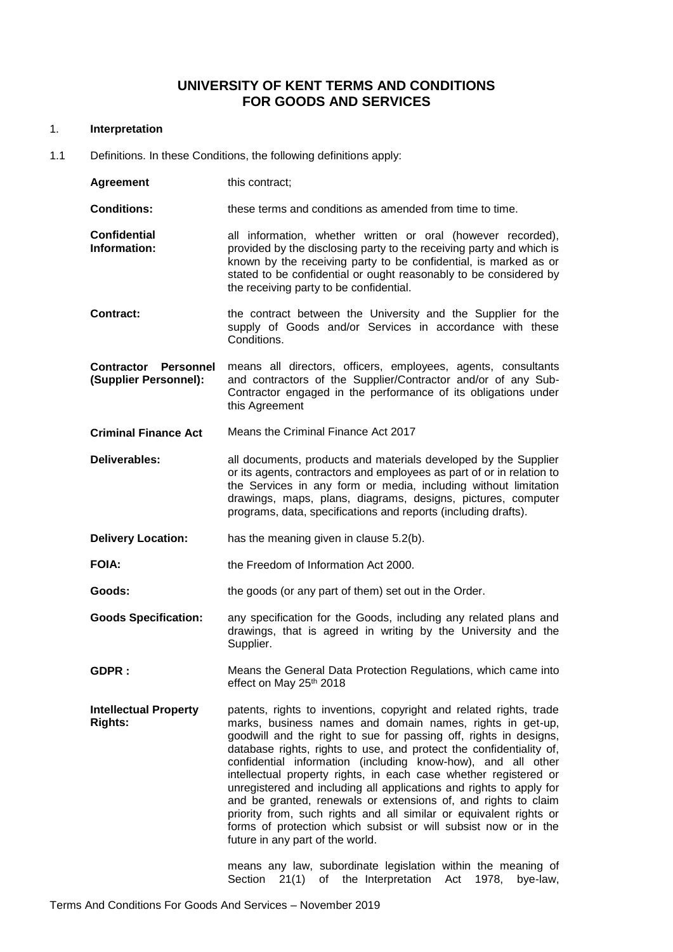# **UNIVERSITY OF KENT TERMS AND CONDITIONS FOR GOODS AND SERVICES**

#### 1. **Interpretation**

1.1 Definitions. In these Conditions, the following definitions apply:

| <b>Agreement</b>                                     | this contract;                                                                                                                                                                                                                                                                                                                                |  |
|------------------------------------------------------|-----------------------------------------------------------------------------------------------------------------------------------------------------------------------------------------------------------------------------------------------------------------------------------------------------------------------------------------------|--|
| <b>Conditions:</b>                                   | these terms and conditions as amended from time to time.                                                                                                                                                                                                                                                                                      |  |
| <b>Confidential</b><br>Information:                  | all information, whether written or oral (however recorded),<br>provided by the disclosing party to the receiving party and which is<br>known by the receiving party to be confidential, is marked as or<br>stated to be confidential or ought reasonably to be considered by<br>the receiving party to be confidential.                      |  |
| <b>Contract:</b>                                     | the contract between the University and the Supplier for the<br>supply of Goods and/or Services in accordance with these<br>Conditions.                                                                                                                                                                                                       |  |
| <b>Contractor Personnel</b><br>(Supplier Personnel): | means all directors, officers, employees, agents, consultants<br>and contractors of the Supplier/Contractor and/or of any Sub-<br>Contractor engaged in the performance of its obligations under<br>this Agreement                                                                                                                            |  |
| <b>Criminal Finance Act</b>                          | Means the Criminal Finance Act 2017                                                                                                                                                                                                                                                                                                           |  |
| Deliverables:                                        | all documents, products and materials developed by the Supplier<br>or its agents, contractors and employees as part of or in relation to<br>the Services in any form or media, including without limitation<br>drawings, maps, plans, diagrams, designs, pictures, computer<br>programs, data, specifications and reports (including drafts). |  |
| <b>Delivery Location:</b>                            | has the meaning given in clause 5.2(b).                                                                                                                                                                                                                                                                                                       |  |
| <b>FOIA:</b>                                         | the Freedom of Information Act 2000.                                                                                                                                                                                                                                                                                                          |  |
| Goods:                                               | the goods (or any part of them) set out in the Order.                                                                                                                                                                                                                                                                                         |  |
| <b>Goods Specification:</b>                          | any specification for the Goods, including any related plans and                                                                                                                                                                                                                                                                              |  |

- drawings, that is agreed in writing by the University and the Supplier.
- **GDPR :** Means the General Data Protection Regulations, which came into effect on May 25th 2018
- **Intellectual Property Rights:**  patents, rights to inventions, copyright and related rights, trade marks, business names and domain names, rights in get-up, goodwill and the right to sue for passing off, rights in designs, database rights, rights to use, and protect the confidentiality of, confidential information (including know-how), and all other intellectual property rights, in each case whether registered or unregistered and including all applications and rights to apply for and be granted, renewals or extensions of, and rights to claim priority from, such rights and all similar or equivalent rights or forms of protection which subsist or will subsist now or in the future in any part of the world.

means any law, subordinate legislation within the meaning of Section 21(1) of the Interpretation Act 1978, bye-law,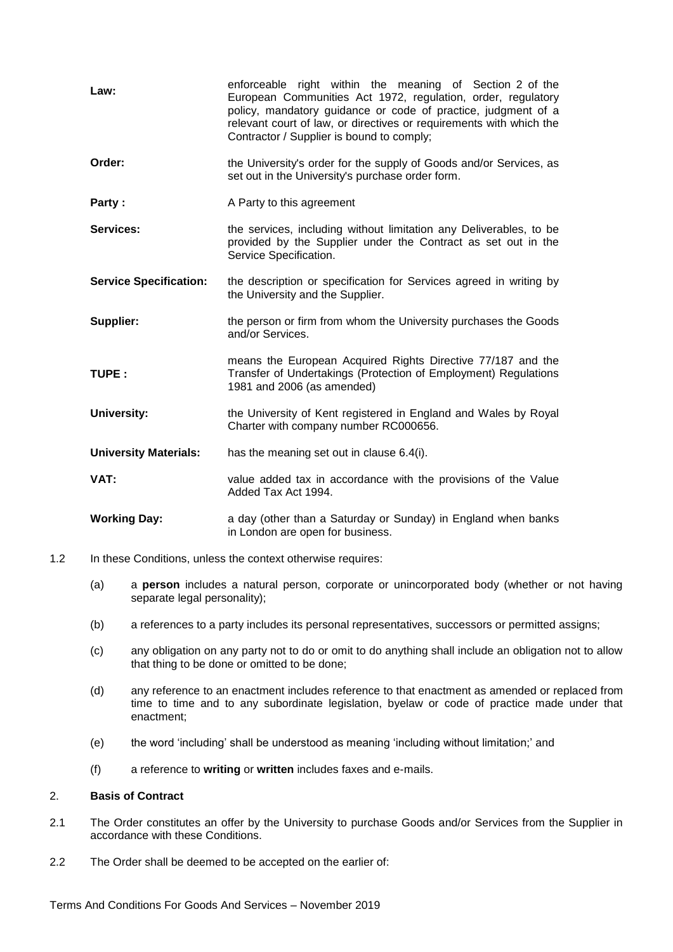| Law:                          | enforceable right within the meaning of Section 2 of the<br>European Communities Act 1972, regulation, order, regulatory<br>policy, mandatory guidance or code of practice, judgment of a<br>relevant court of law, or directives or requirements with which the<br>Contractor / Supplier is bound to comply; |
|-------------------------------|---------------------------------------------------------------------------------------------------------------------------------------------------------------------------------------------------------------------------------------------------------------------------------------------------------------|
| Order:                        | the University's order for the supply of Goods and/or Services, as<br>set out in the University's purchase order form.                                                                                                                                                                                        |
| Party:                        | A Party to this agreement                                                                                                                                                                                                                                                                                     |
| <b>Services:</b>              | the services, including without limitation any Deliverables, to be<br>provided by the Supplier under the Contract as set out in the<br>Service Specification.                                                                                                                                                 |
| <b>Service Specification:</b> | the description or specification for Services agreed in writing by<br>the University and the Supplier.                                                                                                                                                                                                        |
| Supplier:                     | the person or firm from whom the University purchases the Goods<br>and/or Services.                                                                                                                                                                                                                           |
| TUPE:                         | means the European Acquired Rights Directive 77/187 and the<br>Transfer of Undertakings (Protection of Employment) Regulations<br>1981 and 2006 (as amended)                                                                                                                                                  |
| <b>University:</b>            | the University of Kent registered in England and Wales by Royal<br>Charter with company number RC000656.                                                                                                                                                                                                      |
| <b>University Materials:</b>  | has the meaning set out in clause 6.4(i).                                                                                                                                                                                                                                                                     |
| VAT:                          | value added tax in accordance with the provisions of the Value<br>Added Tax Act 1994.                                                                                                                                                                                                                         |
| <b>Working Day:</b>           | a day (other than a Saturday or Sunday) in England when banks<br>in London are open for business.                                                                                                                                                                                                             |

- 1.2 In these Conditions, unless the context otherwise requires:
	- (a) a **person** includes a natural person, corporate or unincorporated body (whether or not having separate legal personality);
	- (b) a references to a party includes its personal representatives, successors or permitted assigns;
	- (c) any obligation on any party not to do or omit to do anything shall include an obligation not to allow that thing to be done or omitted to be done;
	- (d) any reference to an enactment includes reference to that enactment as amended or replaced from time to time and to any subordinate legislation, byelaw or code of practice made under that enactment;
	- (e) the word 'including' shall be understood as meaning 'including without limitation;' and
	- (f) a reference to **writing** or **written** includes faxes and e-mails.

## 2. **Basis of Contract**

- 2.1 The Order constitutes an offer by the University to purchase Goods and/or Services from the Supplier in accordance with these Conditions.
- 2.2 The Order shall be deemed to be accepted on the earlier of: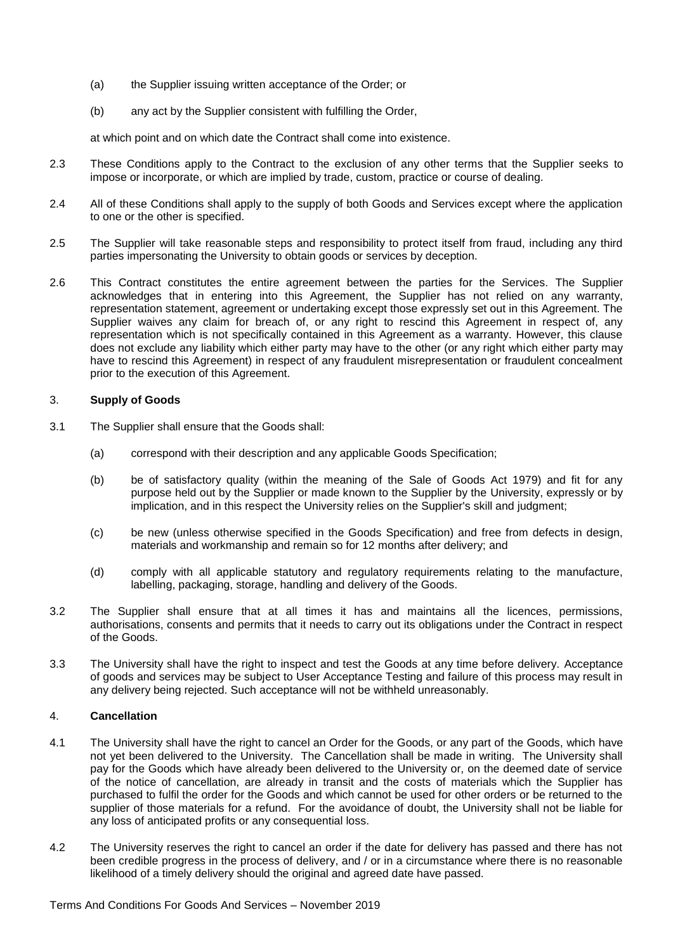- (a) the Supplier issuing written acceptance of the Order; or
- (b) any act by the Supplier consistent with fulfilling the Order,

at which point and on which date the Contract shall come into existence.

- 2.3 These Conditions apply to the Contract to the exclusion of any other terms that the Supplier seeks to impose or incorporate, or which are implied by trade, custom, practice or course of dealing.
- 2.4 All of these Conditions shall apply to the supply of both Goods and Services except where the application to one or the other is specified.
- 2.5 The Supplier will take reasonable steps and responsibility to protect itself from fraud, including any third parties impersonating the University to obtain goods or services by deception.
- 2.6 This Contract constitutes the entire agreement between the parties for the Services. The Supplier acknowledges that in entering into this Agreement, the Supplier has not relied on any warranty, representation statement, agreement or undertaking except those expressly set out in this Agreement. The Supplier waives any claim for breach of, or any right to rescind this Agreement in respect of, any representation which is not specifically contained in this Agreement as a warranty. However, this clause does not exclude any liability which either party may have to the other (or any right which either party may have to rescind this Agreement) in respect of any fraudulent misrepresentation or fraudulent concealment prior to the execution of this Agreement.

## 3. **Supply of Goods**

- <span id="page-2-0"></span>3.1 The Supplier shall ensure that the Goods shall:
	- (a) correspond with their description and any applicable Goods Specification;
	- (b) be of satisfactory quality (within the meaning of the Sale of Goods Act 1979) and fit for any purpose held out by the Supplier or made known to the Supplier by the University, expressly or by implication, and in this respect the University relies on the Supplier's skill and judgment;
	- (c) be new (unless otherwise specified in the Goods Specification) and free from defects in design, materials and workmanship and remain so for 12 months after delivery; and
	- (d) comply with all applicable statutory and regulatory requirements relating to the manufacture, labelling, packaging, storage, handling and delivery of the Goods.
- 3.2 The Supplier shall ensure that at all times it has and maintains all the licences, permissions, authorisations, consents and permits that it needs to carry out its obligations under the Contract in respect of the Goods.
- 3.3 The University shall have the right to inspect and test the Goods at any time before delivery. Acceptance of goods and services may be subject to User Acceptance Testing and failure of this process may result in any delivery being rejected. Such acceptance will not be withheld unreasonably.

## <span id="page-2-1"></span>4. **Cancellation**

- 4.1 The University shall have the right to cancel an Order for the Goods, or any part of the Goods, which have not yet been delivered to the University. The Cancellation shall be made in writing. The University shall pay for the Goods which have already been delivered to the University or, on the deemed date of service of the notice of cancellation, are already in transit and the costs of materials which the Supplier has purchased to fulfil the order for the Goods and which cannot be used for other orders or be returned to the supplier of those materials for a refund. For the avoidance of doubt, the University shall not be liable for any loss of anticipated profits or any consequential loss.
- 4.2 The University reserves the right to cancel an order if the date for delivery has passed and there has not been credible progress in the process of delivery, and / or in a circumstance where there is no reasonable likelihood of a timely delivery should the original and agreed date have passed.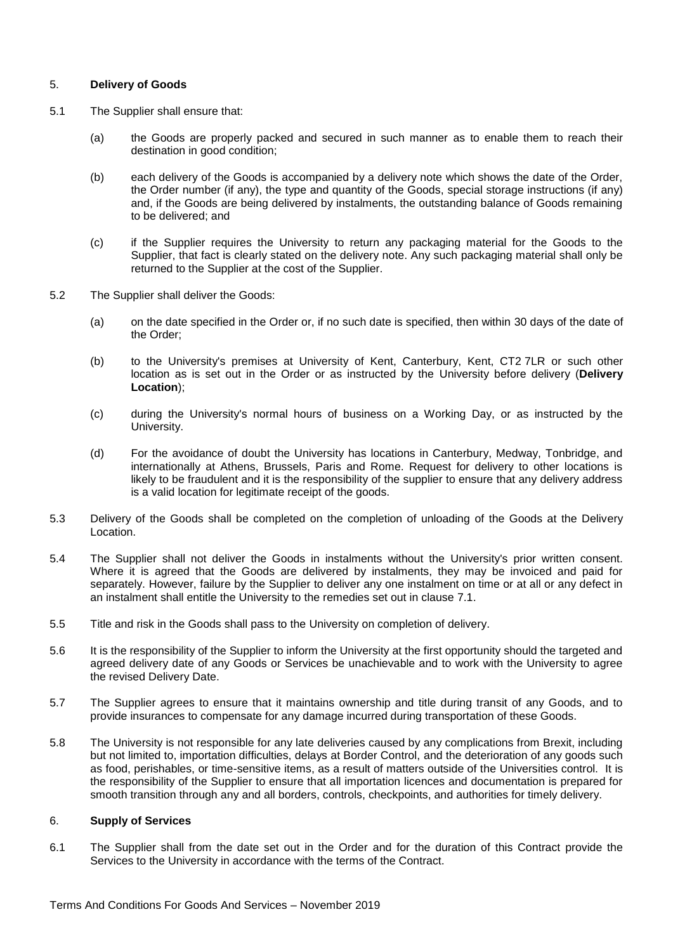## 5. **Delivery of Goods**

- 5.1 The Supplier shall ensure that:
	- (a) the Goods are properly packed and secured in such manner as to enable them to reach their destination in good condition;
	- (b) each delivery of the Goods is accompanied by a delivery note which shows the date of the Order, the Order number (if any), the type and quantity of the Goods, special storage instructions (if any) and, if the Goods are being delivered by instalments, the outstanding balance of Goods remaining to be delivered; and
	- (c) if the Supplier requires the University to return any packaging material for the Goods to the Supplier, that fact is clearly stated on the delivery note. Any such packaging material shall only be returned to the Supplier at the cost of the Supplier.
- <span id="page-3-0"></span>5.2 The Supplier shall deliver the Goods:
	- (a) on the date specified in the Order or, if no such date is specified, then within 30 days of the date of the Order;
	- (b) to the University's premises at University of Kent, Canterbury, Kent, CT2 7LR or such other location as is set out in the Order or as instructed by the University before delivery (**Delivery Location**);
	- (c) during the University's normal hours of business on a Working Day, or as instructed by the University.
	- (d) For the avoidance of doubt the University has locations in Canterbury, Medway, Tonbridge, and internationally at Athens, Brussels, Paris and Rome. Request for delivery to other locations is likely to be fraudulent and it is the responsibility of the supplier to ensure that any delivery address is a valid location for legitimate receipt of the goods.
- 5.3 Delivery of the Goods shall be completed on the completion of unloading of the Goods at the Delivery Location.
- 5.4 The Supplier shall not deliver the Goods in instalments without the University's prior written consent. Where it is agreed that the Goods are delivered by instalments, they may be invoiced and paid for separately. However, failure by the Supplier to deliver any one instalment on time or at all or any defect in an instalment shall entitle the University to the remedies set out in clause [7.1.](#page-4-1)
- 5.5 Title and risk in the Goods shall pass to the University on completion of delivery.
- 5.6 It is the responsibility of the Supplier to inform the University at the first opportunity should the targeted and agreed delivery date of any Goods or Services be unachievable and to work with the University to agree the revised Delivery Date.
- 5.7 The Supplier agrees to ensure that it maintains ownership and title during transit of any Goods, and to provide insurances to compensate for any damage incurred during transportation of these Goods.
- 5.8 The University is not responsible for any late deliveries caused by any complications from Brexit, including but not limited to, importation difficulties, delays at Border Control, and the deterioration of any goods such as food, perishables, or time-sensitive items, as a result of matters outside of the Universities control. It is the responsibility of the Supplier to ensure that all importation licences and documentation is prepared for smooth transition through any and all borders, controls, checkpoints, and authorities for timely delivery.

#### 6. **Supply of Services**

6.1 The Supplier shall from the date set out in the Order and for the duration of this Contract provide the Services to the University in accordance with the terms of the Contract.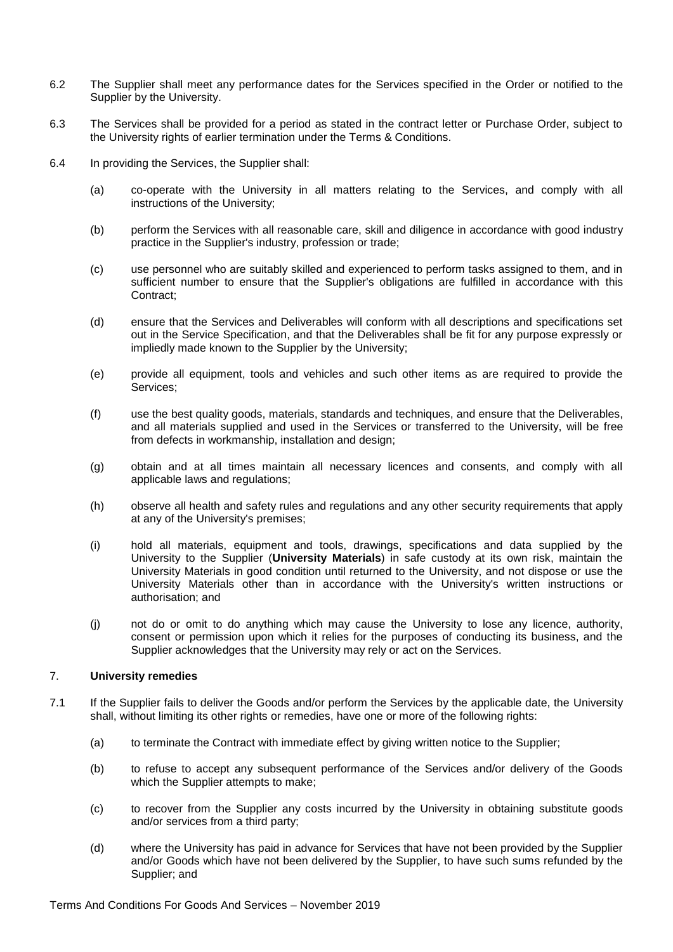- 6.2 The Supplier shall meet any performance dates for the Services specified in the Order or notified to the Supplier by the University.
- 6.3 The Services shall be provided for a period as stated in the contract letter or Purchase Order, subject to the University rights of earlier termination under the Terms & Conditions.
- <span id="page-4-2"></span>6.4 In providing the Services, the Supplier shall:
	- (a) co-operate with the University in all matters relating to the Services, and comply with all instructions of the University;
	- (b) perform the Services with all reasonable care, skill and diligence in accordance with good industry practice in the Supplier's industry, profession or trade;
	- (c) use personnel who are suitably skilled and experienced to perform tasks assigned to them, and in sufficient number to ensure that the Supplier's obligations are fulfilled in accordance with this Contract;
	- (d) ensure that the Services and Deliverables will conform with all descriptions and specifications set out in the Service Specification, and that the Deliverables shall be fit for any purpose expressly or impliedly made known to the Supplier by the University;
	- (e) provide all equipment, tools and vehicles and such other items as are required to provide the Services;
	- (f) use the best quality goods, materials, standards and techniques, and ensure that the Deliverables, and all materials supplied and used in the Services or transferred to the University, will be free from defects in workmanship, installation and design;
	- (g) obtain and at all times maintain all necessary licences and consents, and comply with all applicable laws and regulations;
	- (h) observe all health and safety rules and regulations and any other security requirements that apply at any of the University's premises;
	- (i) hold all materials, equipment and tools, drawings, specifications and data supplied by the University to the Supplier (**University Materials**) in safe custody at its own risk, maintain the University Materials in good condition until returned to the University, and not dispose or use the University Materials other than in accordance with the University's written instructions or authorisation; and
	- (j) not do or omit to do anything which may cause the University to lose any licence, authority, consent or permission upon which it relies for the purposes of conducting its business, and the Supplier acknowledges that the University may rely or act on the Services.

#### <span id="page-4-0"></span>7. **University remedies**

- <span id="page-4-1"></span>7.1 If the Supplier fails to deliver the Goods and/or perform the Services by the applicable date, the University shall, without limiting its other rights or remedies, have one or more of the following rights:
	- (a) to terminate the Contract with immediate effect by giving written notice to the Supplier;
	- (b) to refuse to accept any subsequent performance of the Services and/or delivery of the Goods which the Supplier attempts to make;
	- (c) to recover from the Supplier any costs incurred by the University in obtaining substitute goods and/or services from a third party;
	- (d) where the University has paid in advance for Services that have not been provided by the Supplier and/or Goods which have not been delivered by the Supplier, to have such sums refunded by the Supplier; and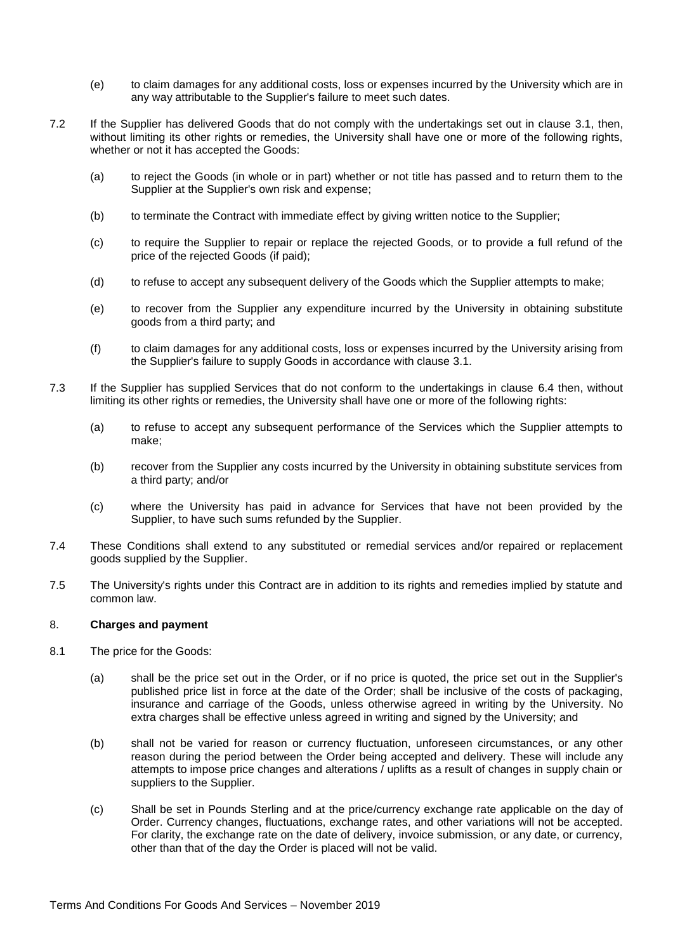- (e) to claim damages for any additional costs, loss or expenses incurred by the University which are in any way attributable to the Supplier's failure to meet such dates.
- 7.2 If the Supplier has delivered Goods that do not comply with the undertakings set out in clause [3.1,](#page-2-0) then, without limiting its other rights or remedies, the University shall have one or more of the following rights, whether or not it has accepted the Goods:
	- (a) to reject the Goods (in whole or in part) whether or not title has passed and to return them to the Supplier at the Supplier's own risk and expense;
	- (b) to terminate the Contract with immediate effect by giving written notice to the Supplier;
	- (c) to require the Supplier to repair or replace the rejected Goods, or to provide a full refund of the price of the rejected Goods (if paid);
	- (d) to refuse to accept any subsequent delivery of the Goods which the Supplier attempts to make;
	- (e) to recover from the Supplier any expenditure incurred by the University in obtaining substitute goods from a third party; and
	- (f) to claim damages for any additional costs, loss or expenses incurred by the University arising from the Supplier's failure to supply Goods in accordance with clause [3.1.](#page-2-0)
- 7.3 If the Supplier has supplied Services that do not conform to the undertakings in clause [6.4](#page-4-2) then, without limiting its other rights or remedies, the University shall have one or more of the following rights:
	- (a) to refuse to accept any subsequent performance of the Services which the Supplier attempts to make;
	- (b) recover from the Supplier any costs incurred by the University in obtaining substitute services from a third party; and/or
	- (c) where the University has paid in advance for Services that have not been provided by the Supplier, to have such sums refunded by the Supplier.
- 7.4 These Conditions shall extend to any substituted or remedial services and/or repaired or replacement goods supplied by the Supplier.
- 7.5 The University's rights under this Contract are in addition to its rights and remedies implied by statute and common law.

#### 8. **Charges and payment**

- 8.1 The price for the Goods:
	- (a) shall be the price set out in the Order, or if no price is quoted, the price set out in the Supplier's published price list in force at the date of the Order; shall be inclusive of the costs of packaging, insurance and carriage of the Goods, unless otherwise agreed in writing by the University. No extra charges shall be effective unless agreed in writing and signed by the University; and
	- (b) shall not be varied for reason or currency fluctuation, unforeseen circumstances, or any other reason during the period between the Order being accepted and delivery. These will include any attempts to impose price changes and alterations / uplifts as a result of changes in supply chain or suppliers to the Supplier.
	- (c) Shall be set in Pounds Sterling and at the price/currency exchange rate applicable on the day of Order. Currency changes, fluctuations, exchange rates, and other variations will not be accepted. For clarity, the exchange rate on the date of delivery, invoice submission, or any date, or currency, other than that of the day the Order is placed will not be valid.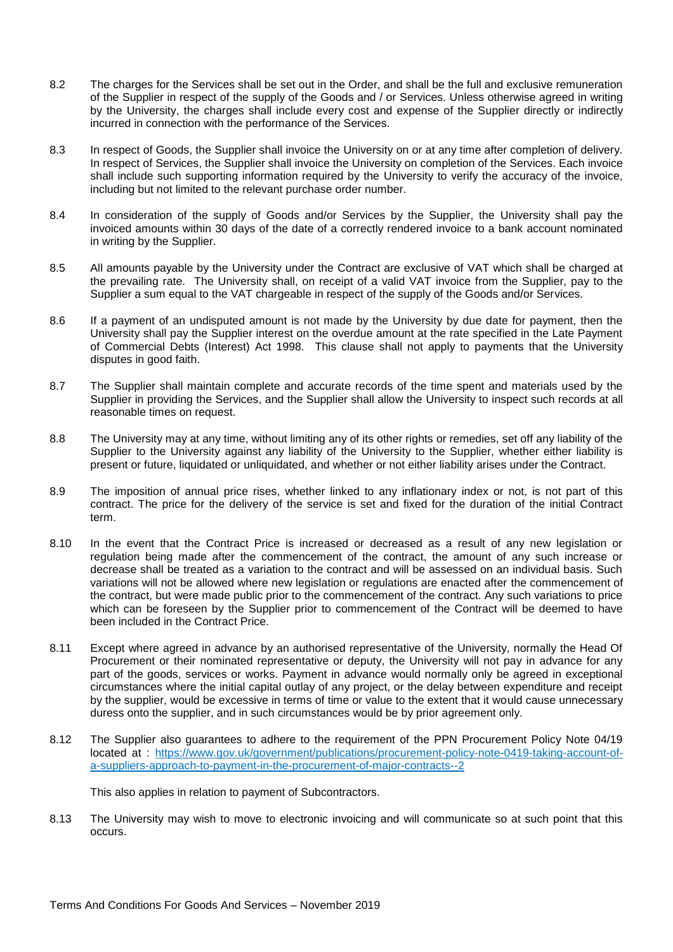- 8.2 The charges for the Services shall be set out in the Order, and shall be the full and exclusive remuneration of the Supplier in respect of the supply of the Goods and / or Services. Unless otherwise agreed in writing by the University, the charges shall include every cost and expense of the Supplier directly or indirectly incurred in connection with the performance of the Services.
- 8.3 In respect of Goods, the Supplier shall invoice the University on or at any time after completion of delivery. In respect of Services, the Supplier shall invoice the University on completion of the Services. Each invoice shall include such supporting information required by the University to verify the accuracy of the invoice, including but not limited to the relevant purchase order number.
- 8.4 In consideration of the supply of Goods and/or Services by the Supplier, the University shall pay the invoiced amounts within 30 days of the date of a correctly rendered invoice to a bank account nominated in writing by the Supplier.
- 8.5 All amounts payable by the University under the Contract are exclusive of VAT which shall be charged at the prevailing rate. The University shall, on receipt of a valid VAT invoice from the Supplier, pay to the Supplier a sum equal to the VAT chargeable in respect of the supply of the Goods and/or Services.
- 8.6 If a payment of an undisputed amount is not made by the University by due date for payment, then the University shall pay the Supplier interest on the overdue amount at the rate specified in the Late Payment of Commercial Debts (Interest) Act 1998. This clause shall not apply to payments that the University disputes in good faith.
- 8.7 The Supplier shall maintain complete and accurate records of the time spent and materials used by the Supplier in providing the Services, and the Supplier shall allow the University to inspect such records at all reasonable times on request.
- 8.8 The University may at any time, without limiting any of its other rights or remedies, set off any liability of the Supplier to the University against any liability of the University to the Supplier, whether either liability is present or future, liquidated or unliquidated, and whether or not either liability arises under the Contract.
- 8.9 The imposition of annual price rises, whether linked to any inflationary index or not, is not part of this contract. The price for the delivery of the service is set and fixed for the duration of the initial Contract term.
- 8.10 In the event that the Contract Price is increased or decreased as a result of any new legislation or regulation being made after the commencement of the contract, the amount of any such increase or decrease shall be treated as a variation to the contract and will be assessed on an individual basis. Such variations will not be allowed where new legislation or regulations are enacted after the commencement of the contract, but were made public prior to the commencement of the contract. Any such variations to price which can be foreseen by the Supplier prior to commencement of the Contract will be deemed to have been included in the Contract Price.
- 8.11 Except where agreed in advance by an authorised representative of the University, normally the Head Of Procurement or their nominated representative or deputy, the University will not pay in advance for any part of the goods, services or works. Payment in advance would normally only be agreed in exceptional circumstances where the initial capital outlay of any project, or the delay between expenditure and receipt by the supplier, would be excessive in terms of time or value to the extent that it would cause unnecessary duress onto the supplier, and in such circumstances would be by prior agreement only.
- 8.12 The Supplier also guarantees to adhere to the requirement of the PPN Procurement Policy Note 04/19 located at : [https://www.gov.uk/government/publications/procurement-policy-note-0419-taking-account-of](https://www.gov.uk/government/publications/procurement-policy-note-0419-taking-account-of-a-suppliers-approach-to-payment-in-the-procurement-of-major-contracts--2)[a-suppliers-approach-to-payment-in-the-procurement-of-major-contracts--2](https://www.gov.uk/government/publications/procurement-policy-note-0419-taking-account-of-a-suppliers-approach-to-payment-in-the-procurement-of-major-contracts--2)

This also applies in relation to payment of Subcontractors.

8.13 The University may wish to move to electronic invoicing and will communicate so at such point that this occurs.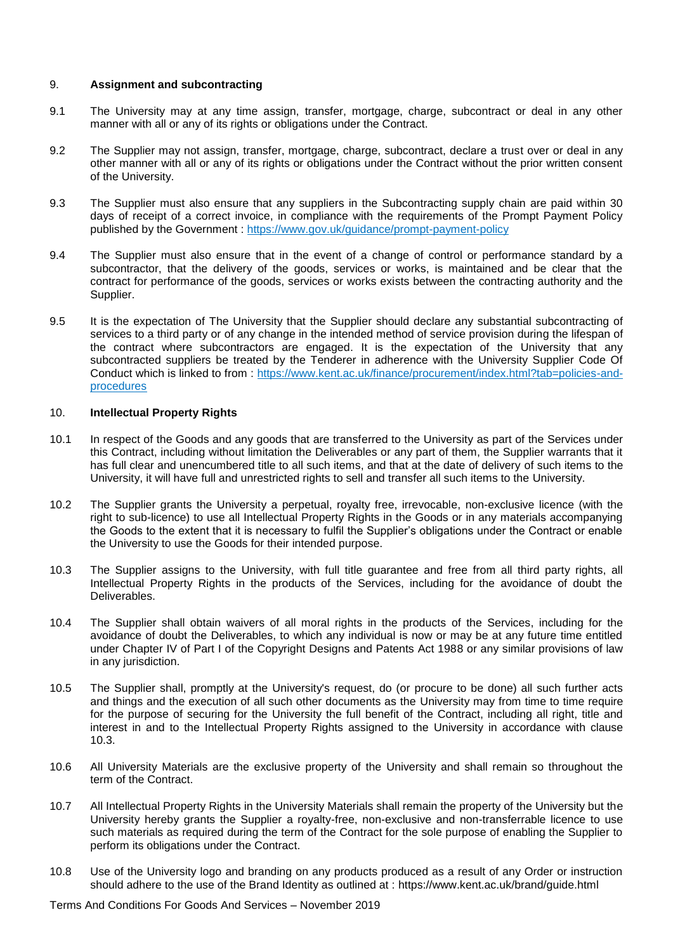## 9. **Assignment and subcontracting**

- 9.1 The University may at any time assign, transfer, mortgage, charge, subcontract or deal in any other manner with all or any of its rights or obligations under the Contract.
- 9.2 The Supplier may not assign, transfer, mortgage, charge, subcontract, declare a trust over or deal in any other manner with all or any of its rights or obligations under the Contract without the prior written consent of the University.
- 9.3 The Supplier must also ensure that any suppliers in the Subcontracting supply chain are paid within 30 days of receipt of a correct invoice, in compliance with the requirements of the Prompt Payment Policy published by the Government :<https://www.gov.uk/guidance/prompt-payment-policy>
- 9.4 The Supplier must also ensure that in the event of a change of control or performance standard by a subcontractor, that the delivery of the goods, services or works, is maintained and be clear that the contract for performance of the goods, services or works exists between the contracting authority and the Supplier.
- 9.5 It is the expectation of The University that the Supplier should declare any substantial subcontracting of services to a third party or of any change in the intended method of service provision during the lifespan of the contract where subcontractors are engaged. It is the expectation of the University that any subcontracted suppliers be treated by the Tenderer in adherence with the University Supplier Code Of Conduct which is linked to from : [https://www.kent.ac.uk/finance/procurement/index.html?tab=policies-and](https://www.kent.ac.uk/finance/procurement/index.html?tab=policies-and-procedures)[procedures](https://www.kent.ac.uk/finance/procurement/index.html?tab=policies-and-procedures)

## 10. **Intellectual Property Rights**

- 10.1 In respect of the Goods and any goods that are transferred to the University as part of the Services under this Contract, including without limitation the Deliverables or any part of them, the Supplier warrants that it has full clear and unencumbered title to all such items, and that at the date of delivery of such items to the University, it will have full and unrestricted rights to sell and transfer all such items to the University.
- 10.2 The Supplier grants the University a perpetual, royalty free, irrevocable, non-exclusive licence (with the right to sub-licence) to use all Intellectual Property Rights in the Goods or in any materials accompanying the Goods to the extent that it is necessary to fulfil the Supplier's obligations under the Contract or enable the University to use the Goods for their intended purpose.
- <span id="page-7-0"></span>10.3 The Supplier assigns to the University, with full title guarantee and free from all third party rights, all Intellectual Property Rights in the products of the Services, including for the avoidance of doubt the Deliverables.
- 10.4 The Supplier shall obtain waivers of all moral rights in the products of the Services, including for the avoidance of doubt the Deliverables, to which any individual is now or may be at any future time entitled under Chapter IV of Part I of the Copyright Designs and Patents Act 1988 or any similar provisions of law in any jurisdiction.
- 10.5 The Supplier shall, promptly at the University's request, do (or procure to be done) all such further acts and things and the execution of all such other documents as the University may from time to time require for the purpose of securing for the University the full benefit of the Contract, including all right, title and interest in and to the Intellectual Property Rights assigned to the University in accordance with clause [10.3.](#page-7-0)
- 10.6 All University Materials are the exclusive property of the University and shall remain so throughout the term of the Contract.
- 10.7 All Intellectual Property Rights in the University Materials shall remain the property of the University but the University hereby grants the Supplier a royalty-free, non-exclusive and non-transferrable licence to use such materials as required during the term of the Contract for the sole purpose of enabling the Supplier to perform its obligations under the Contract.
- 10.8 Use of the University logo and branding on any products produced as a result of any Order or instruction should adhere to the use of the Brand Identity as outlined at :<https://www.kent.ac.uk/brand/guide.html>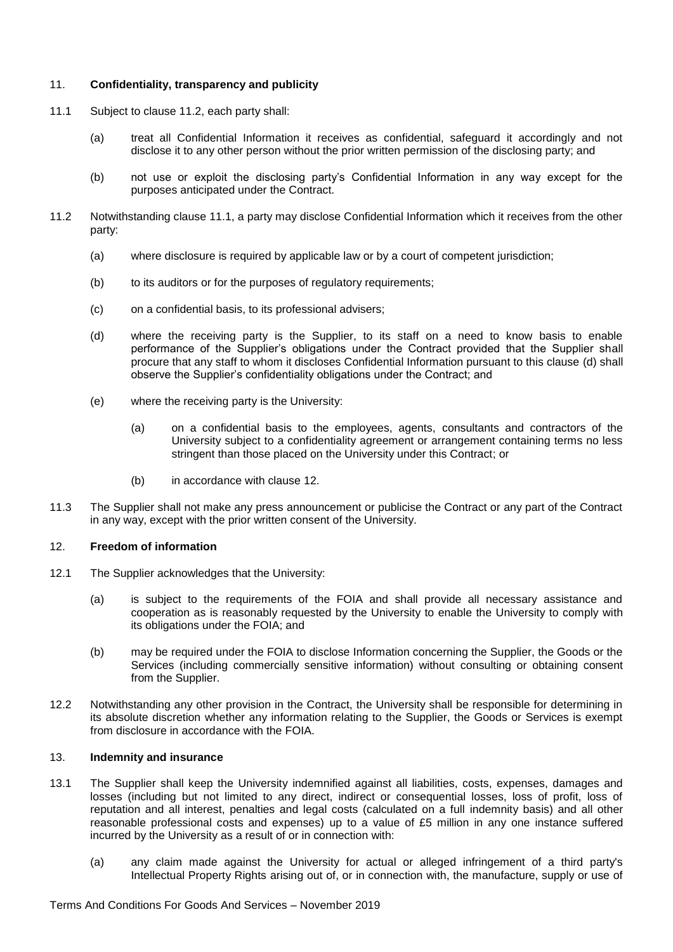## 11. **Confidentiality, transparency and publicity**

- <span id="page-8-1"></span>11.1 Subject to clause [11.2,](#page-8-0) each party shall:
	- (a) treat all Confidential Information it receives as confidential, safeguard it accordingly and not disclose it to any other person without the prior written permission of the disclosing party; and
	- (b) not use or exploit the disclosing party's Confidential Information in any way except for the purposes anticipated under the Contract.
- <span id="page-8-2"></span><span id="page-8-0"></span>11.2 Notwithstanding clause [11.1,](#page-8-1) a party may disclose Confidential Information which it receives from the other party:
	- (a) where disclosure is required by applicable law or by a court of competent jurisdiction;
	- (b) to its auditors or for the purposes of regulatory requirements;
	- (c) on a confidential basis, to its professional advisers;
	- (d) where the receiving party is the Supplier, to its staff on a need to know basis to enable performance of the Supplier's obligations under the Contract provided that the Supplier shall procure that any staff to whom it discloses Confidential Information pursuant to this clause [\(d\)](#page-8-2) shall observe the Supplier's confidentiality obligations under the Contract; and
	- (e) where the receiving party is the University:
		- (a) on a confidential basis to the employees, agents, consultants and contractors of the University subject to a confidentiality agreement or arrangement containing terms no less stringent than those placed on the University under this Contract; or
		- (b) in accordance with clause [12.](#page-8-3)
- 11.3 The Supplier shall not make any press announcement or publicise the Contract or any part of the Contract in any way, except with the prior written consent of the University.

## <span id="page-8-3"></span>12. **Freedom of information**

- 12.1 The Supplier acknowledges that the University:
	- (a) is subject to the requirements of the FOIA and shall provide all necessary assistance and cooperation as is reasonably requested by the University to enable the University to comply with its obligations under the FOIA; and
	- (b) may be required under the FOIA to disclose Information concerning the Supplier, the Goods or the Services (including commercially sensitive information) without consulting or obtaining consent from the Supplier.
- 12.2 Notwithstanding any other provision in the Contract, the University shall be responsible for determining in its absolute discretion whether any information relating to the Supplier, the Goods or Services is exempt from disclosure in accordance with the FOIA.

#### <span id="page-8-4"></span>13. **Indemnity and insurance**

- 13.1 The Supplier shall keep the University indemnified against all liabilities, costs, expenses, damages and losses (including but not limited to any direct, indirect or consequential losses, loss of profit, loss of reputation and all interest, penalties and legal costs (calculated on a full indemnity basis) and all other reasonable professional costs and expenses) up to a value of £5 million in any one instance suffered incurred by the University as a result of or in connection with:
	- (a) any claim made against the University for actual or alleged infringement of a third party's Intellectual Property Rights arising out of, or in connection with, the manufacture, supply or use of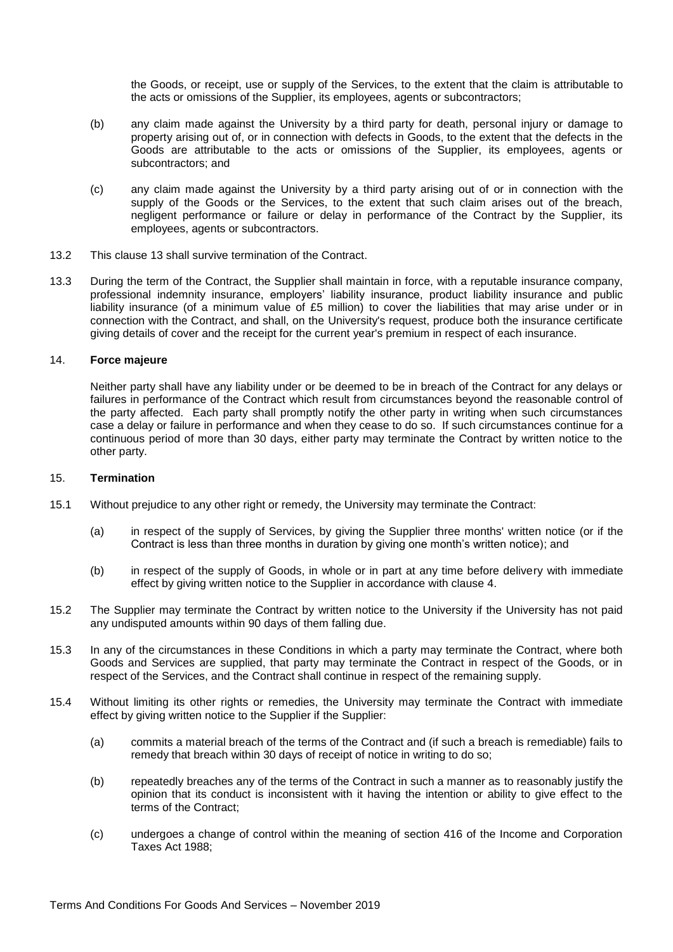the Goods, or receipt, use or supply of the Services, to the extent that the claim is attributable to the acts or omissions of the Supplier, its employees, agents or subcontractors;

- (b) any claim made against the University by a third party for death, personal injury or damage to property arising out of, or in connection with defects in Goods, to the extent that the defects in the Goods are attributable to the acts or omissions of the Supplier, its employees, agents or subcontractors; and
- (c) any claim made against the University by a third party arising out of or in connection with the supply of the Goods or the Services, to the extent that such claim arises out of the breach, negligent performance or failure or delay in performance of the Contract by the Supplier, its employees, agents or subcontractors.
- 13.2 This clause [13](#page-8-4) shall survive termination of the Contract.
- 13.3 During the term of the Contract, the Supplier shall maintain in force, with a reputable insurance company, professional indemnity insurance, employers' liability insurance, product liability insurance and public liability insurance (of a minimum value of £5 million) to cover the liabilities that may arise under or in connection with the Contract, and shall, on the University's request, produce both the insurance certificate giving details of cover and the receipt for the current year's premium in respect of each insurance.

## <span id="page-9-0"></span>14. **Force majeure**

Neither party shall have any liability under or be deemed to be in breach of the Contract for any delays or failures in performance of the Contract which result from circumstances beyond the reasonable control of the party affected. Each party shall promptly notify the other party in writing when such circumstances case a delay or failure in performance and when they cease to do so. If such circumstances continue for a continuous period of more than 30 days, either party may terminate the Contract by written notice to the other party.

#### <span id="page-9-1"></span>15. **Termination**

- 15.1 Without prejudice to any other right or remedy, the University may terminate the Contract:
	- (a) in respect of the supply of Services, by giving the Supplier three months' written notice (or if the Contract is less than three months in duration by giving one month's written notice); and
	- (b) in respect of the supply of Goods, in whole or in part at any time before delivery with immediate effect by giving written notice to the Supplier in accordance with clause [4.](#page-2-1)
- 15.2 The Supplier may terminate the Contract by written notice to the University if the University has not paid any undisputed amounts within 90 days of them falling due.
- 15.3 In any of the circumstances in these Conditions in which a party may terminate the Contract, where both Goods and Services are supplied, that party may terminate the Contract in respect of the Goods, or in respect of the Services, and the Contract shall continue in respect of the remaining supply.
- 15.4 Without limiting its other rights or remedies, the University may terminate the Contract with immediate effect by giving written notice to the Supplier if the Supplier:
	- (a) commits a material breach of the terms of the Contract and (if such a breach is remediable) fails to remedy that breach within 30 days of receipt of notice in writing to do so;
	- (b) repeatedly breaches any of the terms of the Contract in such a manner as to reasonably justify the opinion that its conduct is inconsistent with it having the intention or ability to give effect to the terms of the Contract;
	- (c) undergoes a change of control within the meaning of section 416 of the Income and Corporation Taxes Act 1988;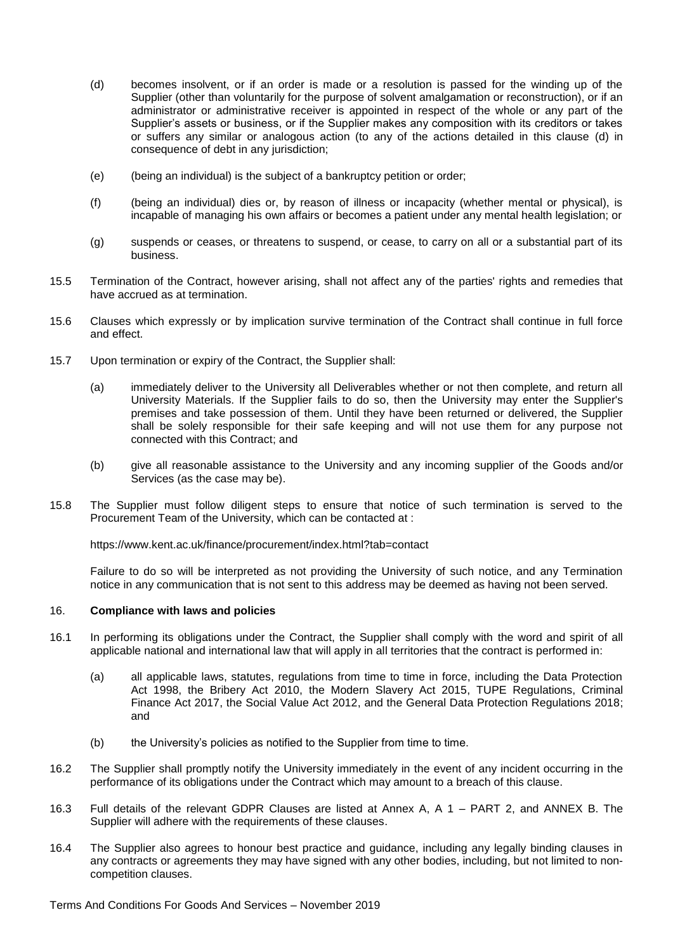- <span id="page-10-0"></span>(d) becomes insolvent, or if an order is made or a resolution is passed for the winding up of the Supplier (other than voluntarily for the purpose of solvent amalgamation or reconstruction), or if an administrator or administrative receiver is appointed in respect of the whole or any part of the Supplier's assets or business, or if the Supplier makes any composition with its creditors or takes or suffers any similar or analogous action (to any of the actions detailed in this clause [\(d\)](#page-10-0) in consequence of debt in any jurisdiction;
- (e) (being an individual) is the subject of a bankruptcy petition or order;
- (f) (being an individual) dies or, by reason of illness or incapacity (whether mental or physical), is incapable of managing his own affairs or becomes a patient under any mental health legislation; or
- (g) suspends or ceases, or threatens to suspend, or cease, to carry on all or a substantial part of its business.
- 15.5 Termination of the Contract, however arising, shall not affect any of the parties' rights and remedies that have accrued as at termination.
- 15.6 Clauses which expressly or by implication survive termination of the Contract shall continue in full force and effect.
- 15.7 Upon termination or expiry of the Contract, the Supplier shall:
	- (a) immediately deliver to the University all Deliverables whether or not then complete, and return all University Materials. If the Supplier fails to do so, then the University may enter the Supplier's premises and take possession of them. Until they have been returned or delivered, the Supplier shall be solely responsible for their safe keeping and will not use them for any purpose not connected with this Contract; and
	- (b) give all reasonable assistance to the University and any incoming supplier of the Goods and/or Services (as the case may be).
- 15.8 The Supplier must follow diligent steps to ensure that notice of such termination is served to the Procurement Team of the University, which can be contacted at :

<https://www.kent.ac.uk/finance/procurement/index.html?tab=contact>

Failure to do so will be interpreted as not providing the University of such notice, and any Termination notice in any communication that is not sent to this address may be deemed as having not been served.

#### 16. **Compliance with laws and policies**

- 16.1 In performing its obligations under the Contract, the Supplier shall comply with the word and spirit of all applicable national and international law that will apply in all territories that the contract is performed in:
	- (a) all applicable laws, statutes, regulations from time to time in force, including the Data Protection Act 1998, the Bribery Act 2010, the Modern Slavery Act 2015, TUPE Regulations, Criminal Finance Act 2017, the Social Value Act 2012, and the General Data Protection Regulations 2018; and
	- (b) the University's policies as notified to the Supplier from time to time.
- 16.2 The Supplier shall promptly notify the University immediately in the event of any incident occurring in the performance of its obligations under the Contract which may amount to a breach of this clause.
- 16.3 Full details of the relevant GDPR Clauses are listed at Annex A, A 1 PART 2, and ANNEX B. The Supplier will adhere with the requirements of these clauses.
- 16.4 The Supplier also agrees to honour best practice and guidance, including any legally binding clauses in any contracts or agreements they may have signed with any other bodies, including, but not limited to noncompetition clauses.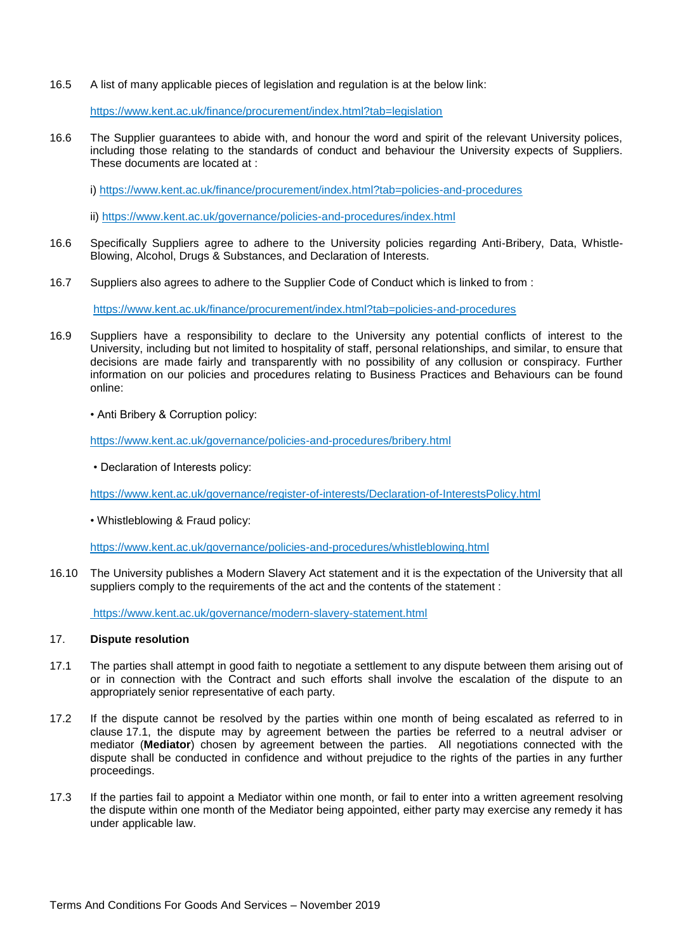16.5 A list of many applicable pieces of legislation and regulation is at the below link:

https://www.kent.ac.uk/finance/procurement/index.html?tab=legislation

16.6 The Supplier guarantees to abide with, and honour the word and spirit of the relevant University polices, including those relating to the standards of conduct and behaviour the University expects of Suppliers. These documents are located at :

i)<https://www.kent.ac.uk/finance/procurement/index.html?tab=policies-and-procedures>

ii)<https://www.kent.ac.uk/governance/policies-and-procedures/index.html>

- 16.6 Specifically Suppliers agree to adhere to the University policies regarding Anti-Bribery, Data, Whistle-Blowing, Alcohol, Drugs & Substances, and Declaration of Interests.
- 16.7 Suppliers also agrees to adhere to the Supplier Code of Conduct which is linked to from :

<https://www.kent.ac.uk/finance/procurement/index.html?tab=policies-and-procedures>

- 16.9 Suppliers have a responsibility to declare to the University any potential conflicts of interest to the University, including but not limited to hospitality of staff, personal relationships, and similar, to ensure that decisions are made fairly and transparently with no possibility of any collusion or conspiracy. Further information on our policies and procedures relating to Business Practices and Behaviours can be found online:
	- Anti Bribery & Corruption policy:

<https://www.kent.ac.uk/governance/policies-and-procedures/bribery.html>

• Declaration of Interests policy:

<https://www.kent.ac.uk/governance/register-of-interests/Declaration-of-InterestsPolicy.html>

• Whistleblowing & Fraud policy:

https://www.kent.ac.uk/governance/policies-and-procedures/whistleblowing.html

16.10 The University publishes a Modern Slavery Act statement and it is the expectation of the University that all suppliers comply to the requirements of the act and the contents of the statement :

<https://www.kent.ac.uk/governance/modern-slavery-statement.html>

#### 17. **Dispute resolution**

- <span id="page-11-0"></span>17.1 The parties shall attempt in good faith to negotiate a settlement to any dispute between them arising out of or in connection with the Contract and such efforts shall involve the escalation of the dispute to an appropriately senior representative of each party.
- 17.2 If the dispute cannot be resolved by the parties within one month of being escalated as referred to in clause [17.1,](#page-11-0) the dispute may by agreement between the parties be referred to a neutral adviser or mediator (**Mediator**) chosen by agreement between the parties. All negotiations connected with the dispute shall be conducted in confidence and without prejudice to the rights of the parties in any further proceedings.
- 17.3 If the parties fail to appoint a Mediator within one month, or fail to enter into a written agreement resolving the dispute within one month of the Mediator being appointed, either party may exercise any remedy it has under applicable law.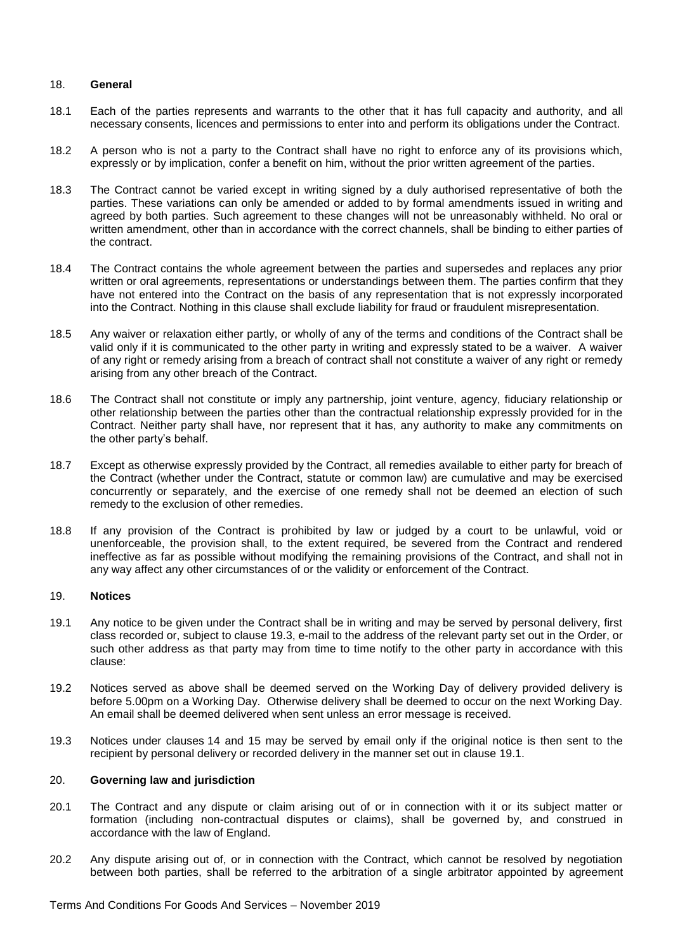#### 18. **General**

- 18.1 Each of the parties represents and warrants to the other that it has full capacity and authority, and all necessary consents, licences and permissions to enter into and perform its obligations under the Contract.
- 18.2 A person who is not a party to the Contract shall have no right to enforce any of its provisions which, expressly or by implication, confer a benefit on him, without the prior written agreement of the parties.
- 18.3 The Contract cannot be varied except in writing signed by a duly authorised representative of both the parties. These variations can only be amended or added to by formal amendments issued in writing and agreed by both parties. Such agreement to these changes will not be unreasonably withheld. No oral or written amendment, other than in accordance with the correct channels, shall be binding to either parties of the contract.
- 18.4 The Contract contains the whole agreement between the parties and supersedes and replaces any prior written or oral agreements, representations or understandings between them. The parties confirm that they have not entered into the Contract on the basis of any representation that is not expressly incorporated into the Contract. Nothing in this clause shall exclude liability for fraud or fraudulent misrepresentation.
- 18.5 Any waiver or relaxation either partly, or wholly of any of the terms and conditions of the Contract shall be valid only if it is communicated to the other party in writing and expressly stated to be a waiver. A waiver of any right or remedy arising from a breach of contract shall not constitute a waiver of any right or remedy arising from any other breach of the Contract.
- 18.6 The Contract shall not constitute or imply any partnership, joint venture, agency, fiduciary relationship or other relationship between the parties other than the contractual relationship expressly provided for in the Contract. Neither party shall have, nor represent that it has, any authority to make any commitments on the other party's behalf.
- 18.7 Except as otherwise expressly provided by the Contract, all remedies available to either party for breach of the Contract (whether under the Contract, statute or common law) are cumulative and may be exercised concurrently or separately, and the exercise of one remedy shall not be deemed an election of such remedy to the exclusion of other remedies.
- 18.8 If any provision of the Contract is prohibited by law or judged by a court to be unlawful, void or unenforceable, the provision shall, to the extent required, be severed from the Contract and rendered ineffective as far as possible without modifying the remaining provisions of the Contract, and shall not in any way affect any other circumstances of or the validity or enforcement of the Contract.

#### 19. **Notices**

- <span id="page-12-1"></span>19.1 Any notice to be given under the Contract shall be in writing and may be served by personal delivery, first class recorded or, subject to clause [19.3,](#page-12-0) e-mail to the address of the relevant party set out in the Order, or such other address as that party may from time to time notify to the other party in accordance with this clause:
- 19.2 Notices served as above shall be deemed served on the Working Day of delivery provided delivery is before 5.00pm on a Working Day. Otherwise delivery shall be deemed to occur on the next Working Day. An email shall be deemed delivered when sent unless an error message is received.
- <span id="page-12-0"></span>19.3 Notices under clauses [14](#page-9-0) and [15](#page-9-1) may be served by email only if the original notice is then sent to the recipient by personal delivery or recorded delivery in the manner set out in clause [19.1.](#page-12-1)

#### 20. **Governing law and jurisdiction**

- 20.1 The Contract and any dispute or claim arising out of or in connection with it or its subject matter or formation (including non-contractual disputes or claims), shall be governed by, and construed in accordance with the law of England.
- 20.2 Any dispute arising out of, or in connection with the Contract, which cannot be resolved by negotiation between both parties, shall be referred to the arbitration of a single arbitrator appointed by agreement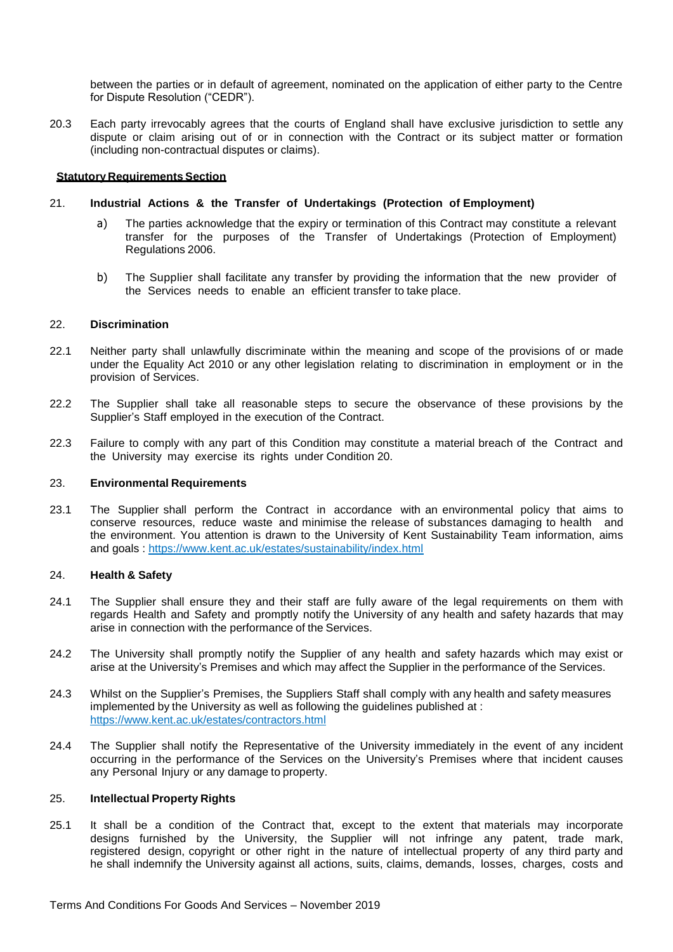between the parties or in default of agreement, nominated on the application of either party to the Centre for Dispute Resolution ("CEDR").

20.3 Each party irrevocably agrees that the courts of England shall have exclusive jurisdiction to settle any dispute or claim arising out of or in connection with the Contract or its subject matter or formation (including non-contractual disputes or claims).

## **Statutory Requirements Section**

## 21. **Industrial Actions & the Transfer of Undertakings (Protection of Employment)**

- a) The parties acknowledge that the expiry or termination of this Contract may constitute a relevant transfer for the purposes of the Transfer of Undertakings (Protection of Employment) Regulations 2006.
- b) The Supplier shall facilitate any transfer by providing the information that the new provider of the Services needs to enable an efficient transfer to take place.

## 22. **Discrimination**

- 22.1 Neither party shall unlawfully discriminate within the meaning and scope of the provisions of or made under the Equality Act 2010 or any other legislation relating to discrimination in employment or in the provision of Services.
- 22.2 The Supplier shall take all reasonable steps to secure the observance of these provisions by the Supplier's Staff employed in the execution of the Contract.
- 22.3 Failure to comply with any part of this Condition may constitute a material breach of the Contract and the University may exercise its rights under Condition 20.

#### 23. **Environmental Requirements**

23.1 The Supplier shall perform the Contract in accordance with an environmental policy that aims to conserve resources, reduce waste and minimise the release of substances damaging to health and the environment. You attention is drawn to the University of Kent Sustainability Team information, aims and goals :<https://www.kent.ac.uk/estates/sustainability/index.html>

#### 24. **Health & Safety**

- 24.1 The Supplier shall ensure they and their staff are fully aware of the legal requirements on them with regards Health and Safety and promptly notify the University of any health and safety hazards that may arise in connection with the performance of the Services.
- 24.2 The University shall promptly notify the Supplier of any health and safety hazards which may exist or arise at the University's Premises and which may affect the Supplier in the performance of the Services.
- 24.3 Whilst on the Supplier's Premises, the Suppliers Staff shall comply with any health and safety measures implemented by the University as well as following the guidelines published at : <https://www.kent.ac.uk/estates/contractors.html>
- 24.4 The Supplier shall notify the Representative of the University immediately in the event of any incident occurring in the performance of the Services on the University's Premises where that incident causes any Personal Injury or any damage to property.

#### 25. **Intellectual Property Rights**

25.1 It shall be a condition of the Contract that, except to the extent that materials may incorporate designs furnished by the University, the Supplier will not infringe any patent, trade mark, registered design, copyright or other right in the nature of intellectual property of any third party and he shall indemnify the University against all actions, suits, claims, demands, losses, charges, costs and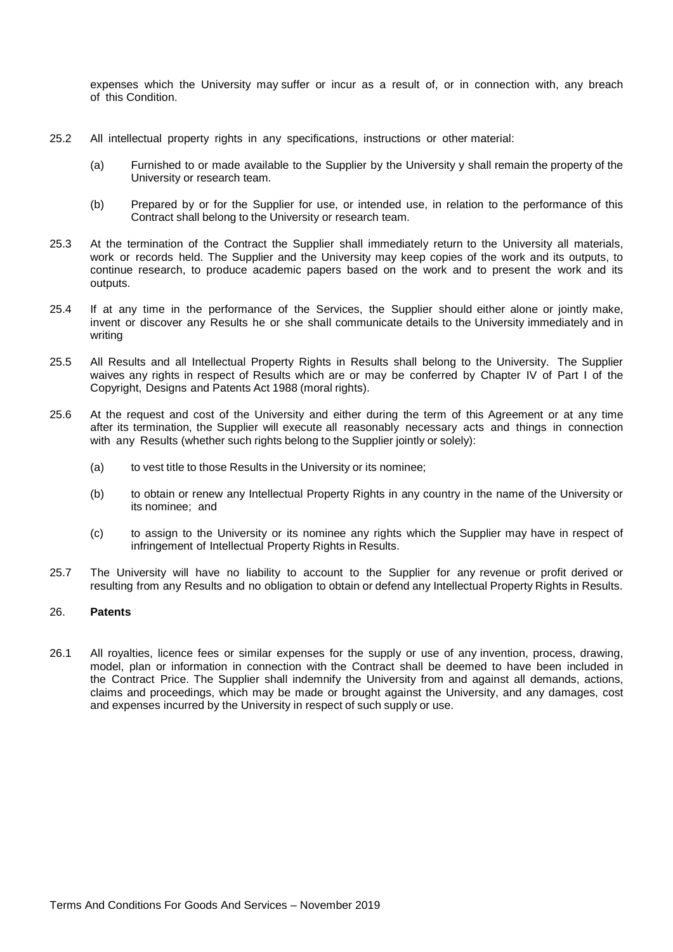expenses which the University may suffer or incur as a result of, or in connection with, any breach of this Condition.

- 25.2 All intellectual property rights in any specifications, instructions or other material:
	- (a) Furnished to or made available to the Supplier by the University y shall remain the property of the University or research team.
	- (b) Prepared by or for the Supplier for use, or intended use, in relation to the performance of this Contract shall belong to the University or research team.
- 25.3 At the termination of the Contract the Supplier shall immediately return to the University all materials, work or records held. The Supplier and the University may keep copies of the work and its outputs, to continue research, to produce academic papers based on the work and to present the work and its outputs.
- 25.4 If at any time in the performance of the Services, the Supplier should either alone or jointly make, invent or discover any Results he or she shall communicate details to the University immediately and in writing
- 25.5 All Results and all Intellectual Property Rights in Results shall belong to the University. The Supplier waives any rights in respect of Results which are or may be conferred by Chapter IV of Part I of the Copyright, Designs and Patents Act 1988 (moral rights).
- 25.6 At the request and cost of the University and either during the term of this Agreement or at any time after its termination, the Supplier will execute all reasonably necessary acts and things in connection with any Results (whether such rights belong to the Supplier jointly or solely):
	- (a) to vest title to those Results in the University or its nominee;
	- (b) to obtain or renew any Intellectual Property Rights in any country in the name of the University or its nominee; and
	- (c) to assign to the University or its nominee any rights which the Supplier may have in respect of infringement of Intellectual Property Rights in Results.
- 25.7 The University will have no liability to account to the Supplier for any revenue or profit derived or resulting from any Results and no obligation to obtain or defend any Intellectual Property Rights in Results.

#### 26. **Patents**

26.1 All royalties, licence fees or similar expenses for the supply or use of any invention, process, drawing, model, plan or information in connection with the Contract shall be deemed to have been included in the Contract Price. The Supplier shall indemnify the University from and against all demands, actions, claims and proceedings, which may be made or brought against the University, and any damages, cost and expenses incurred by the University in respect of such supply or use.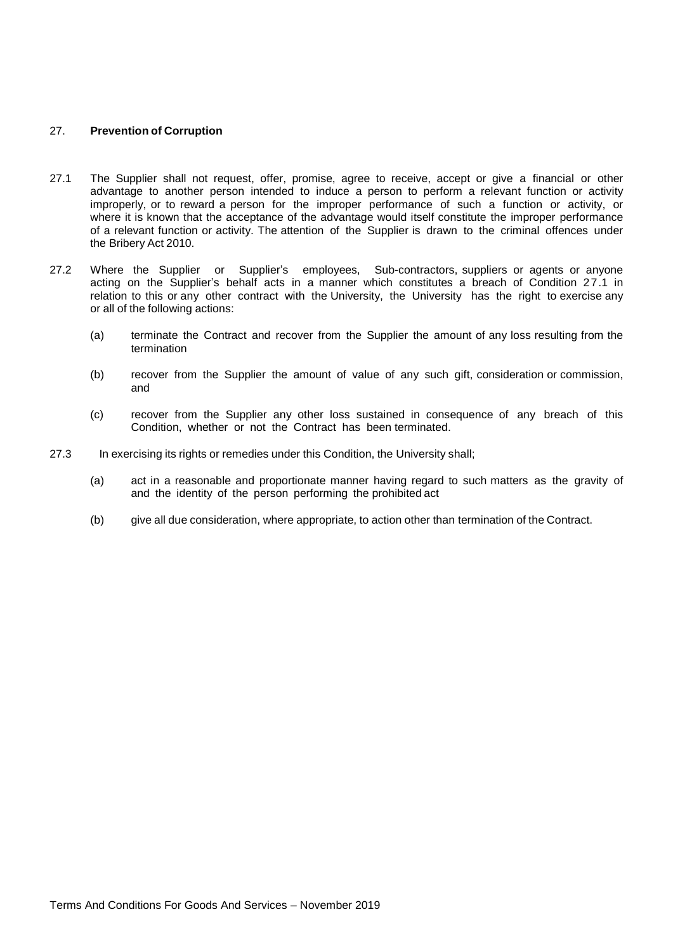## 27. **Prevention of Corruption**

- 27.1 The Supplier shall not request, offer, promise, agree to receive, accept or give a financial or other advantage to another person intended to induce a person to perform a relevant function or activity improperly, or to reward a person for the improper performance of such a function or activity, or where it is known that the acceptance of the advantage would itself constitute the improper performance of a relevant function or activity. The attention of the Supplier is drawn to the criminal offences under the Bribery Act 2010.
- 27.2 Where the Supplier or Supplier's employees, Sub-contractors, suppliers or agents or anyone acting on the Supplier's behalf acts in a manner which constitutes a breach of Condition 27.1 in relation to this or any other contract with the University, the University has the right to exercise any or all of the following actions:
	- (a) terminate the Contract and recover from the Supplier the amount of any loss resulting from the termination
	- (b) recover from the Supplier the amount of value of any such gift, consideration or commission, and
	- (c) recover from the Supplier any other loss sustained in consequence of any breach of this Condition, whether or not the Contract has been terminated.
- 27.3 In exercising its rights or remedies under this Condition, the University shall;
	- (a) act in a reasonable and proportionate manner having regard to such matters as the gravity of and the identity of the person performing the prohibited act
	- (b) give all due consideration, where appropriate, to action other than termination of the Contract.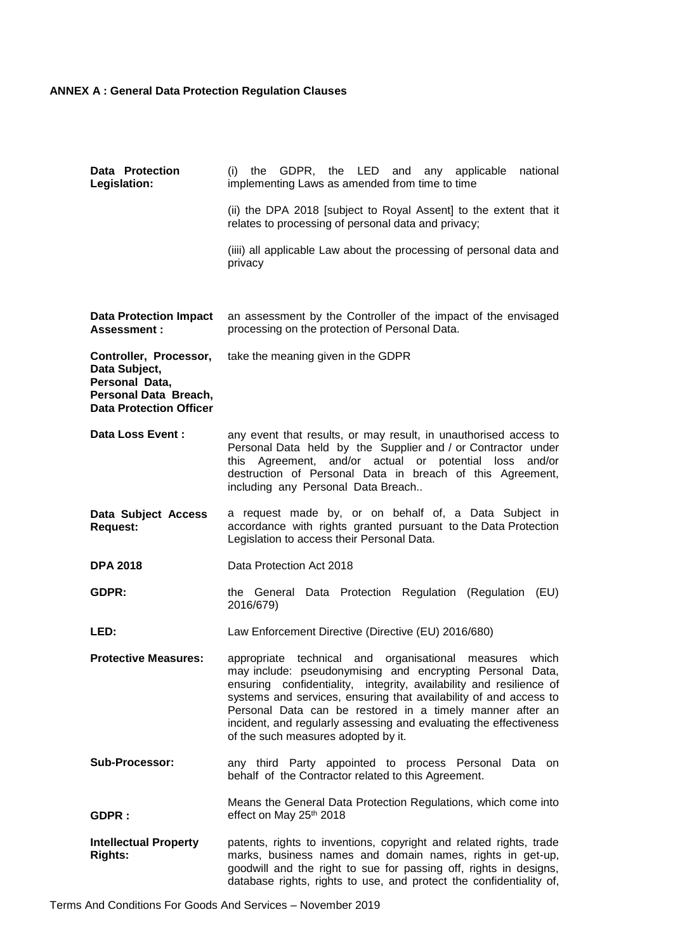# **ANNEX A : General Data Protection Regulation Clauses**

| Data Protection<br>Legislation:                                                                                      | (i) the GDPR, the LED and any applicable<br>national<br>implementing Laws as amended from time to time                                                                                                                                                                                                                                                                                                                                                 |
|----------------------------------------------------------------------------------------------------------------------|--------------------------------------------------------------------------------------------------------------------------------------------------------------------------------------------------------------------------------------------------------------------------------------------------------------------------------------------------------------------------------------------------------------------------------------------------------|
|                                                                                                                      | (ii) the DPA 2018 [subject to Royal Assent] to the extent that it<br>relates to processing of personal data and privacy;                                                                                                                                                                                                                                                                                                                               |
|                                                                                                                      | (iiii) all applicable Law about the processing of personal data and<br>privacy                                                                                                                                                                                                                                                                                                                                                                         |
| <b>Data Protection Impact</b><br>Assessment:                                                                         | an assessment by the Controller of the impact of the envisaged<br>processing on the protection of Personal Data.                                                                                                                                                                                                                                                                                                                                       |
| Controller, Processor,<br>Data Subject,<br>Personal Data,<br>Personal Data Breach,<br><b>Data Protection Officer</b> | take the meaning given in the GDPR                                                                                                                                                                                                                                                                                                                                                                                                                     |
| Data Loss Event :                                                                                                    | any event that results, or may result, in unauthorised access to<br>Personal Data held by the Supplier and / or Contractor under<br>this Agreement, and/or actual or potential loss<br>and/or<br>destruction of Personal Data in breach of this Agreement,<br>including any Personal Data Breach                                                                                                                                                       |
| Data Subject Access<br><b>Request:</b>                                                                               | a request made by, or on behalf of, a Data Subject in<br>accordance with rights granted pursuant to the Data Protection<br>Legislation to access their Personal Data.                                                                                                                                                                                                                                                                                  |
| <b>DPA 2018</b>                                                                                                      | Data Protection Act 2018                                                                                                                                                                                                                                                                                                                                                                                                                               |
| GDPR:                                                                                                                | the General Data Protection Regulation (Regulation<br>(EU)<br>2016/679)                                                                                                                                                                                                                                                                                                                                                                                |
| LED:                                                                                                                 | Law Enforcement Directive (Directive (EU) 2016/680)                                                                                                                                                                                                                                                                                                                                                                                                    |
| <b>Protective Measures:</b>                                                                                          | which<br>appropriate<br>technical and<br>organisational<br>measures<br>may include: pseudonymising and encrypting Personal Data,<br>ensuring confidentiality, integrity, availability and resilience of<br>systems and services, ensuring that availability of and access to<br>Personal Data can be restored in a timely manner after an<br>incident, and regularly assessing and evaluating the effectiveness<br>of the such measures adopted by it. |
| <b>Sub-Processor:</b>                                                                                                | any third Party appointed to process Personal Data on<br>behalf of the Contractor related to this Agreement.                                                                                                                                                                                                                                                                                                                                           |
| GDPR:                                                                                                                | Means the General Data Protection Regulations, which come into<br>effect on May 25th 2018                                                                                                                                                                                                                                                                                                                                                              |
| <b>Intellectual Property</b><br><b>Rights:</b>                                                                       | patents, rights to inventions, copyright and related rights, trade<br>marks, business names and domain names, rights in get-up,<br>goodwill and the right to sue for passing off, rights in designs,<br>database rights, rights to use, and protect the confidentiality of,                                                                                                                                                                            |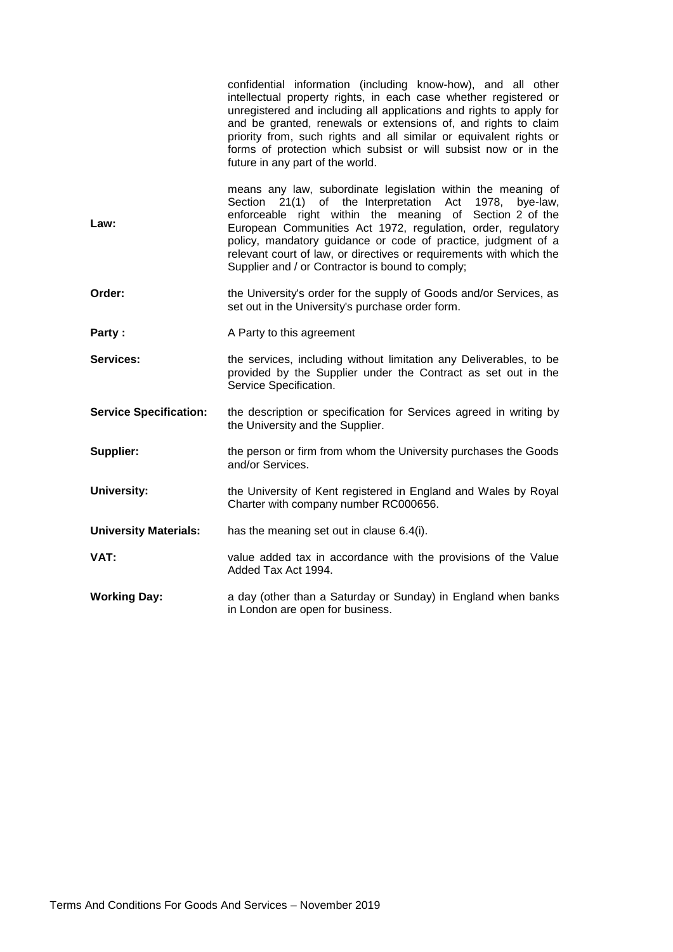|                               | confidential information (including know-how), and all other<br>intellectual property rights, in each case whether registered or<br>unregistered and including all applications and rights to apply for<br>and be granted, renewals or extensions of, and rights to claim<br>priority from, such rights and all similar or equivalent rights or<br>forms of protection which subsist or will subsist now or in the<br>future in any part of the world. |  |
|-------------------------------|--------------------------------------------------------------------------------------------------------------------------------------------------------------------------------------------------------------------------------------------------------------------------------------------------------------------------------------------------------------------------------------------------------------------------------------------------------|--|
| Law:                          | means any law, subordinate legislation within the meaning of<br>Section 21(1) of the Interpretation Act 1978,<br>bye-law,<br>enforceable right within the meaning of Section 2 of the<br>European Communities Act 1972, regulation, order, regulatory<br>policy, mandatory guidance or code of practice, judgment of a<br>relevant court of law, or directives or requirements with which the<br>Supplier and / or Contractor is bound to comply;      |  |
| Order:                        | the University's order for the supply of Goods and/or Services, as<br>set out in the University's purchase order form.                                                                                                                                                                                                                                                                                                                                 |  |
| Party:                        | A Party to this agreement                                                                                                                                                                                                                                                                                                                                                                                                                              |  |
| Services:                     | the services, including without limitation any Deliverables, to be<br>provided by the Supplier under the Contract as set out in the<br>Service Specification.                                                                                                                                                                                                                                                                                          |  |
| <b>Service Specification:</b> | the description or specification for Services agreed in writing by<br>the University and the Supplier.                                                                                                                                                                                                                                                                                                                                                 |  |
| Supplier:                     | the person or firm from whom the University purchases the Goods<br>and/or Services.                                                                                                                                                                                                                                                                                                                                                                    |  |
| <b>University:</b>            | the University of Kent registered in England and Wales by Royal<br>Charter with company number RC000656.                                                                                                                                                                                                                                                                                                                                               |  |
| <b>University Materials:</b>  | has the meaning set out in clause 6.4(i).                                                                                                                                                                                                                                                                                                                                                                                                              |  |
| VAT:                          | value added tax in accordance with the provisions of the Value<br>Added Tax Act 1994.                                                                                                                                                                                                                                                                                                                                                                  |  |
| <b>Working Day:</b>           | a day (other than a Saturday or Sunday) in England when banks<br>in London are open for business.                                                                                                                                                                                                                                                                                                                                                      |  |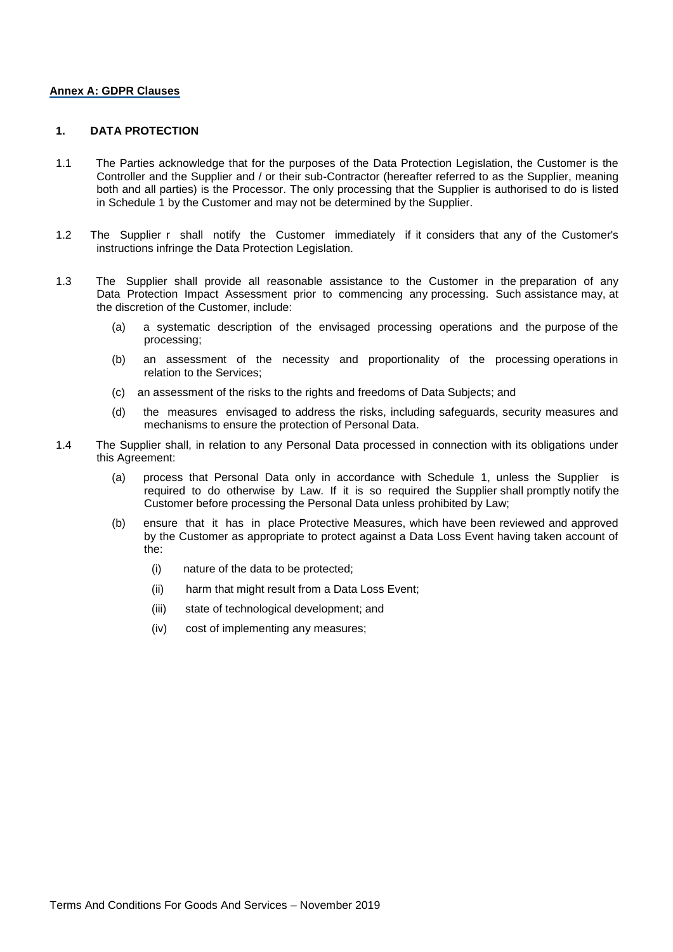#### **Annex A: GDPR Clauses**

## **1. DATA PROTECTION**

- 1.1 The Parties acknowledge that for the purposes of the Data Protection Legislation, the Customer is the Controller and the Supplier and / or their sub-Contractor (hereafter referred to as the Supplier, meaning both and all parties) is the Processor. The only processing that the Supplier is authorised to do is listed in Schedule 1 by the Customer and may not be determined by the Supplier.
- 1.2 The Supplier r shall notify the Customer immediately if it considers that any of the Customer's instructions infringe the Data Protection Legislation.
- 1.3 The Supplier shall provide all reasonable assistance to the Customer in the preparation of any Data Protection Impact Assessment prior to commencing any processing. Such assistance may, at the discretion of the Customer, include:
	- (a) a systematic description of the envisaged processing operations and the purpose of the processing;
	- (b) an assessment of the necessity and proportionality of the processing operations in relation to the Services;
	- (c) an assessment of the risks to the rights and freedoms of Data Subjects; and
	- (d) the measures envisaged to address the risks, including safeguards, security measures and mechanisms to ensure the protection of Personal Data.
- 1.4 The Supplier shall, in relation to any Personal Data processed in connection with its obligations under this Agreement:
	- (a) process that Personal Data only in accordance with Schedule 1, unless the Supplier is required to do otherwise by Law. If it is so required the Supplier shall promptly notify the Customer before processing the Personal Data unless prohibited by Law;
	- (b) ensure that it has in place Protective Measures, which have been reviewed and approved by the Customer as appropriate to protect against a Data Loss Event having taken account of the:
		- (i) nature of the data to be protected;
		- (ii) harm that might result from a Data Loss Event;
		- (iii) state of technological development; and
		- (iv) cost of implementing any measures;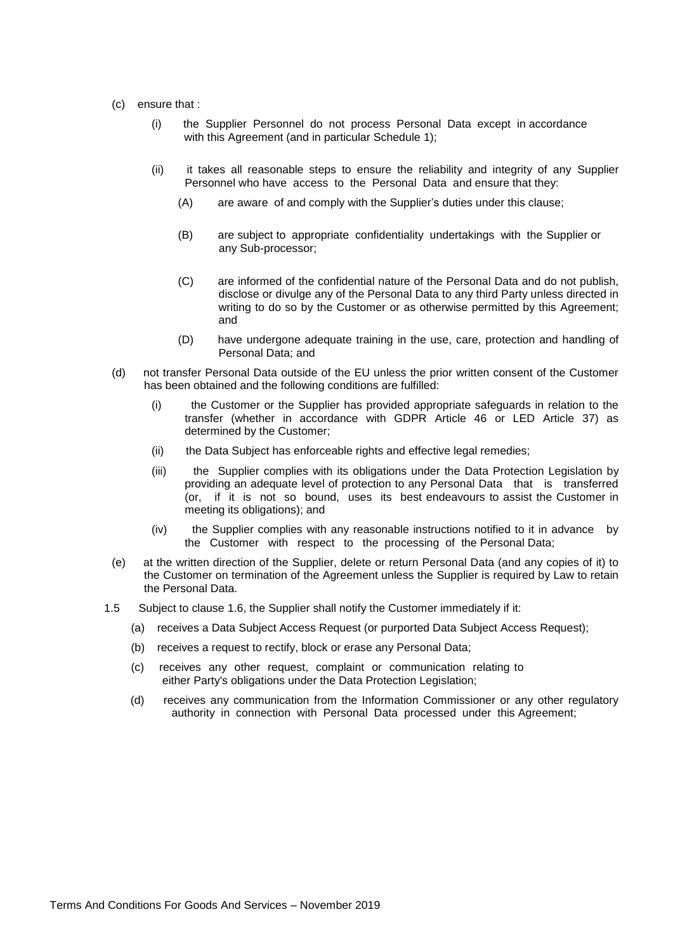- (c) ensure that :
	- (i) the Supplier Personnel do not process Personal Data except in accordance with this Agreement (and in particular Schedule 1);
	- (ii) it takes all reasonable steps to ensure the reliability and integrity of any Supplier Personnel who have access to the Personal Data and ensure that they:
		- (A) are aware of and comply with the Supplier's duties under this clause;
		- (B) are subject to appropriate confidentiality undertakings with the Supplier or any Sub-processor;
		- (C) are informed of the confidential nature of the Personal Data and do not publish, disclose or divulge any of the Personal Data to any third Party unless directed in writing to do so by the Customer or as otherwise permitted by this Agreement; and
		- (D) have undergone adequate training in the use, care, protection and handling of Personal Data; and
- (d) not transfer Personal Data outside of the EU unless the prior written consent of the Customer has been obtained and the following conditions are fulfilled:
	- (i) the Customer or the Supplier has provided appropriate safeguards in relation to the transfer (whether in accordance with GDPR Article 46 or LED Article 37) as determined by the Customer;
	- (ii) the Data Subject has enforceable rights and effective legal remedies;
	- (iii) the Supplier complies with its obligations under the Data Protection Legislation by providing an adequate level of protection to any Personal Data that is transferred (or, if it is not so bound, uses its best endeavours to assist the Customer in meeting its obligations); and
	- (iv) the Supplier complies with any reasonable instructions notified to it in advance by the Customer with respect to the processing of the Personal Data;
- (e) at the written direction of the Supplier, delete or return Personal Data (and any copies of it) to the Customer on termination of the Agreement unless the Supplier is required by Law to retain the Personal Data.
- 1.5 Subject to clause 1.6, the Supplier shall notify the Customer immediately if it:
	- (a) receives a Data Subject Access Request (or purported Data Subject Access Request);
	- (b) receives a request to rectify, block or erase any Personal Data;
	- (c) receives any other request, complaint or communication relating to either Party's obligations under the Data Protection Legislation;
	- (d) receives any communication from the Information Commissioner or any other regulatory authority in connection with Personal Data processed under this Agreement;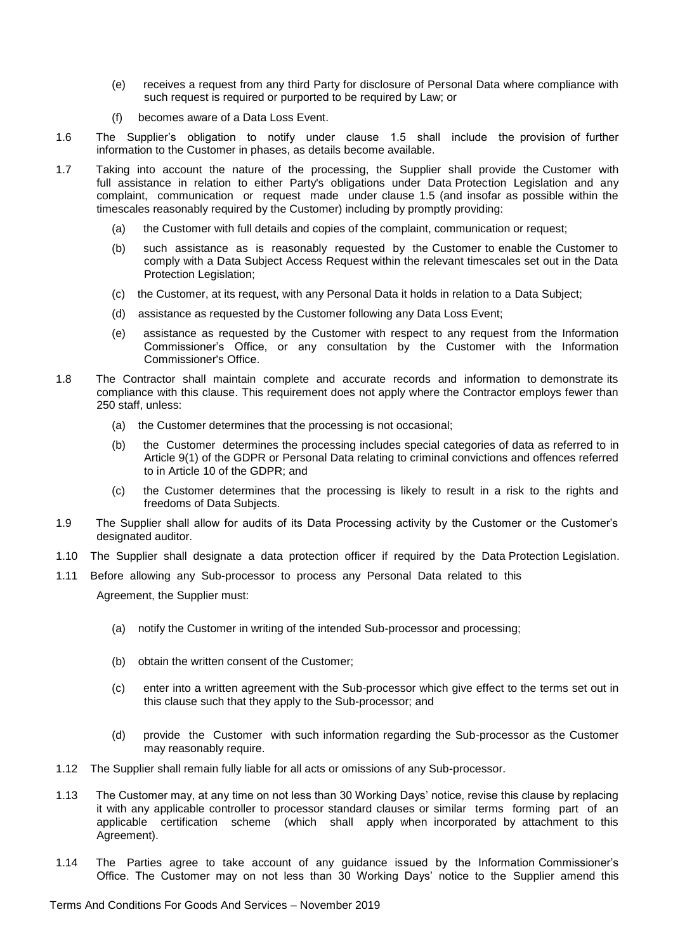- (e) receives a request from any third Party for disclosure of Personal Data where compliance with such request is required or purported to be required by Law; or
- (f) becomes aware of a Data Loss Event.
- 1.6 The Supplier's obligation to notify under clause 1.5 shall include the provision of further information to the Customer in phases, as details become available.
- 1.7 Taking into account the nature of the processing, the Supplier shall provide the Customer with full assistance in relation to either Party's obligations under Data Protection Legislation and any complaint, communication or request made under clause 1.5 (and insofar as possible within the timescales reasonably required by the Customer) including by promptly providing:
	- (a) the Customer with full details and copies of the complaint, communication or request;
	- (b) such assistance as is reasonably requested by the Customer to enable the Customer to comply with a Data Subject Access Request within the relevant timescales set out in the Data Protection Legislation;
	- (c) the Customer, at its request, with any Personal Data it holds in relation to a Data Subject;
	- (d) assistance as requested by the Customer following any Data Loss Event;
	- (e) assistance as requested by the Customer with respect to any request from the Information Commissioner's Office, or any consultation by the Customer with the Information Commissioner's Office.
- 1.8 The Contractor shall maintain complete and accurate records and information to demonstrate its compliance with this clause. This requirement does not apply where the Contractor employs fewer than 250 staff, unless:
	- (a) the Customer determines that the processing is not occasional;
	- (b) the Customer determines the processing includes special categories of data as referred to in Article 9(1) of the GDPR or Personal Data relating to criminal convictions and offences referred to in Article 10 of the GDPR; and
	- (c) the Customer determines that the processing is likely to result in a risk to the rights and freedoms of Data Subjects.
- 1.9 The Supplier shall allow for audits of its Data Processing activity by the Customer or the Customer's designated auditor.
- 1.10 The Supplier shall designate a data protection officer if required by the Data Protection Legislation.
- 1.11 Before allowing any Sub-processor to process any Personal Data related to this Agreement, the Supplier must:
	- (a) notify the Customer in writing of the intended Sub-processor and processing;
	- (b) obtain the written consent of the Customer;
	- (c) enter into a written agreement with the Sub-processor which give effect to the terms set out in this clause such that they apply to the Sub-processor; and
	- (d) provide the Customer with such information regarding the Sub-processor as the Customer may reasonably require.
- 1.12 The Supplier shall remain fully liable for all acts or omissions of any Sub-processor.
- 1.13 The Customer may, at any time on not less than 30 Working Days' notice, revise this clause by replacing it with any applicable controller to processor standard clauses or similar terms forming part of an applicable certification scheme (which shall apply when incorporated by attachment to this Agreement).
- 1.14 The Parties agree to take account of any guidance issued by the Information Commissioner's Office. The Customer may on not less than 30 Working Days' notice to the Supplier amend this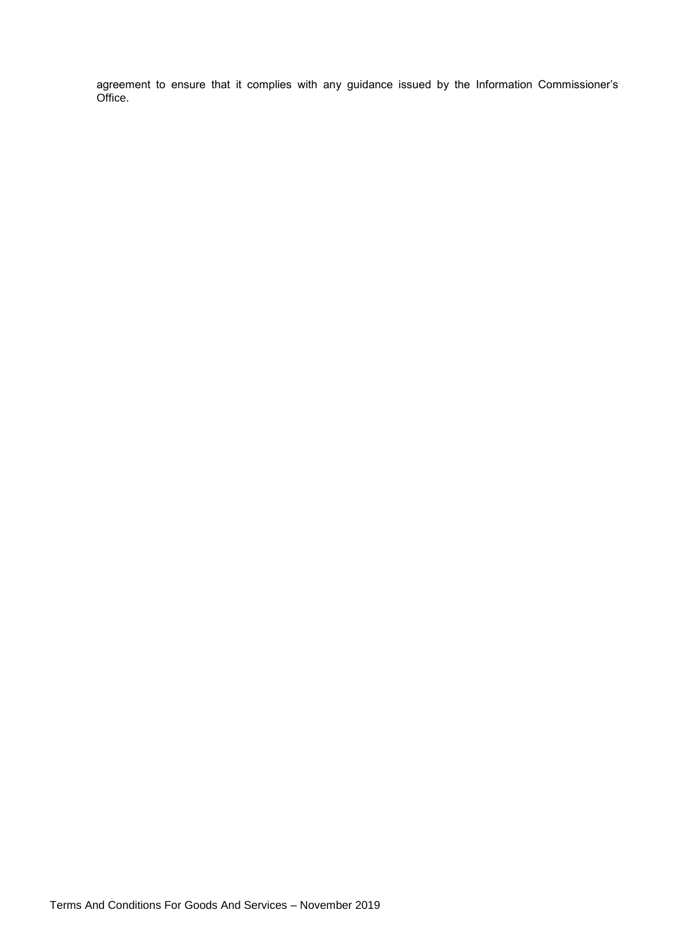agreement to ensure that it complies with any guidance issued by the Information Commissioner's Office.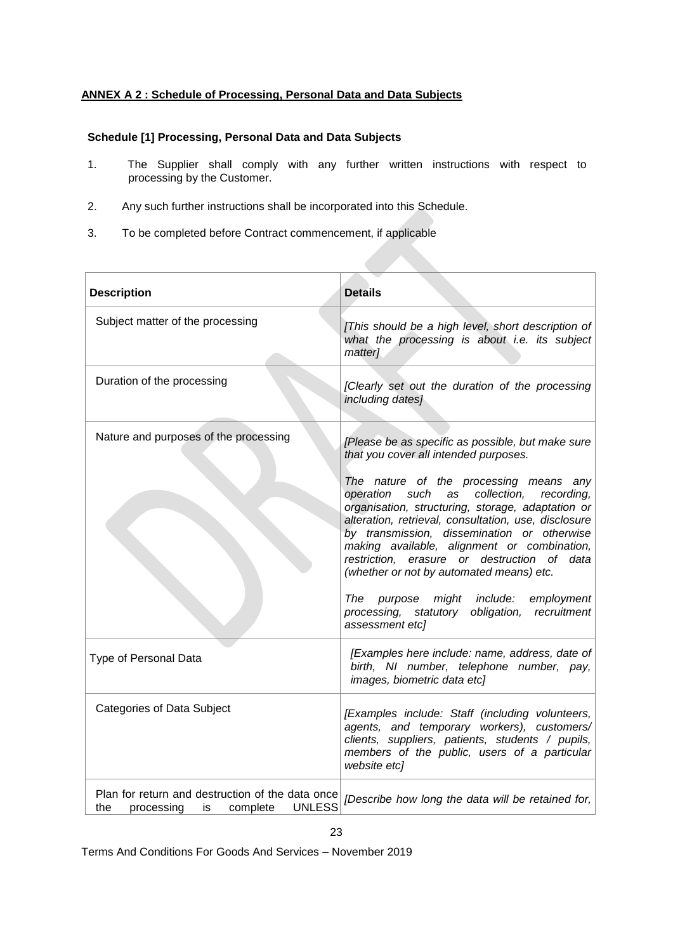# **ANNEX A 2 : Schedule of Processing, Personal Data and Data Subjects**

## **Schedule [1] Processing, Personal Data and Data Subjects**

- 1. The Supplier shall comply with any further written instructions with respect to processing by the Customer.
- 2. Any such further instructions shall be incorporated into this Schedule.
- 3. To be completed before Contract commencement, if applicable

| <b>Description</b>                                                                                       | <b>Details</b>                                                                                                                                                                                                                                                                                                                                                                                                                                                                                                                                                                                                        |
|----------------------------------------------------------------------------------------------------------|-----------------------------------------------------------------------------------------------------------------------------------------------------------------------------------------------------------------------------------------------------------------------------------------------------------------------------------------------------------------------------------------------------------------------------------------------------------------------------------------------------------------------------------------------------------------------------------------------------------------------|
| Subject matter of the processing                                                                         | [This should be a high level, short description of<br>what the processing is about i.e. its subject<br>matter]                                                                                                                                                                                                                                                                                                                                                                                                                                                                                                        |
| Duration of the processing                                                                               | [Clearly set out the duration of the processing<br>including dates]                                                                                                                                                                                                                                                                                                                                                                                                                                                                                                                                                   |
| Nature and purposes of the processing                                                                    | [Please be as specific as possible, but make sure<br>that you cover all intended purposes.<br>The nature of the processing means any<br>operation such<br>as collection,<br>recording,<br>organisation, structuring, storage, adaptation or<br>alteration, retrieval, consultation, use, disclosure<br>by transmission, dissemination or otherwise<br>making available, alignment or combination,<br>restriction, erasure or destruction of data<br>(whether or not by automated means) etc.<br>might include:<br>The<br>purpose<br>employment<br>processing, statutory obligation,<br>recruitment<br>assessment etc] |
| Type of Personal Data                                                                                    | [Examples here include: name, address, date of<br>birth, NI number, telephone number, pay,<br>images, biometric data etc]                                                                                                                                                                                                                                                                                                                                                                                                                                                                                             |
| <b>Categories of Data Subject</b>                                                                        | [Examples include: Staff (including volunteers,<br>agents, and temporary workers), customers/<br>clients, suppliers, patients, students / pupils,<br>members of the public, users of a particular<br>website etc]                                                                                                                                                                                                                                                                                                                                                                                                     |
| Plan for return and destruction of the data once<br><b>UNLESS</b><br>the<br>processing<br>is<br>complete | [Describe how long the data will be retained for,                                                                                                                                                                                                                                                                                                                                                                                                                                                                                                                                                                     |

Terms And Conditions For Goods And Services – November 2019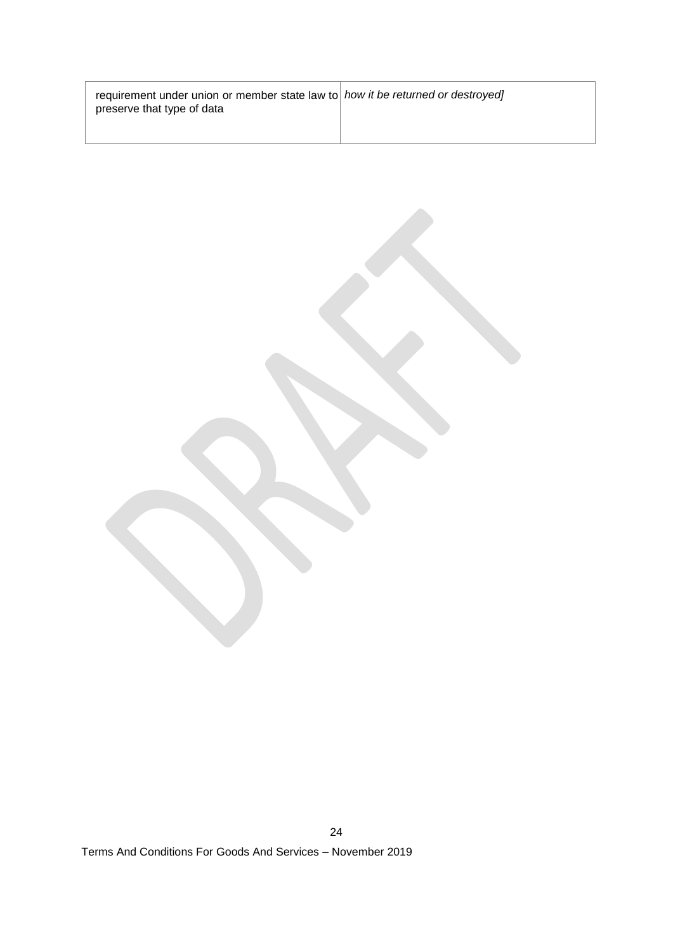| requirement under union or member state law to how it be returned or destroyed<br>preserve that type of data |  |
|--------------------------------------------------------------------------------------------------------------|--|
|                                                                                                              |  |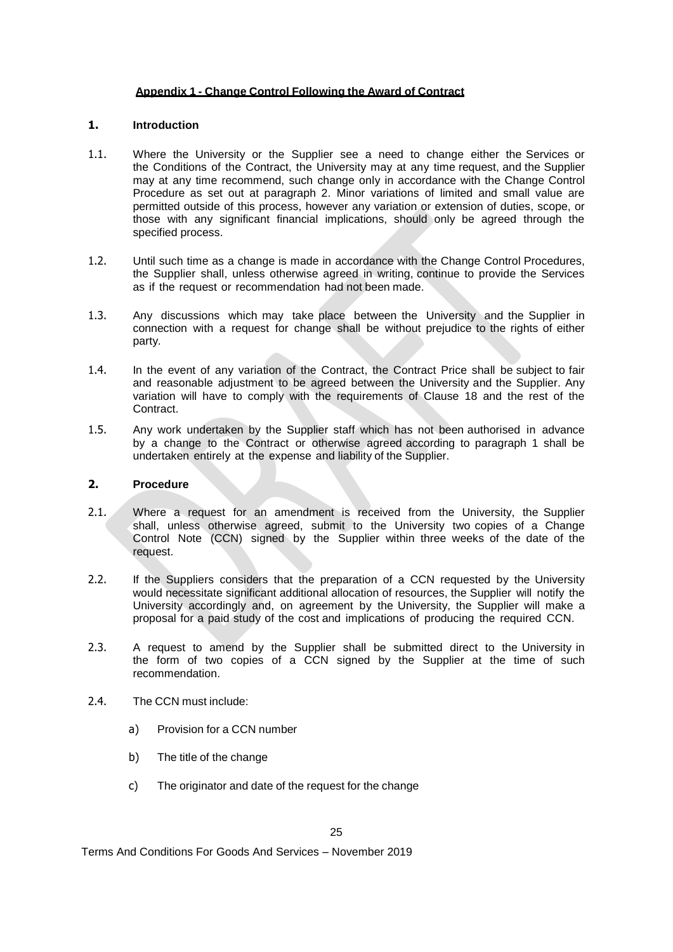## **Appendix 1 - Change Control Following the Award of Contract**

## **1. Introduction**

- 1.1. Where the University or the Supplier see a need to change either the Services or the Conditions of the Contract, the University may at any time request, and the Supplier may at any time recommend, such change only in accordance with the Change Control Procedure as set out at paragraph 2. Minor variations of limited and small value are permitted outside of this process, however any variation or extension of duties, scope, or those with any significant financial implications, should only be agreed through the specified process.
- 1.2. Until such time as a change is made in accordance with the Change Control Procedures, the Supplier shall, unless otherwise agreed in writing, continue to provide the Services as if the request or recommendation had not been made.
- 1.3. Any discussions which may take place between the University and the Supplier in connection with a request for change shall be without prejudice to the rights of either party.
- 1.4. In the event of any variation of the Contract, the Contract Price shall be subject to fair and reasonable adjustment to be agreed between the University and the Supplier. Any variation will have to comply with the requirements of Clause 18 and the rest of the Contract.
- 1.5. Any work undertaken by the Supplier staff which has not been authorised in advance by a change to the Contract or otherwise agreed according to paragraph 1 shall be undertaken entirely at the expense and liability of the Supplier.

## **2. Procedure**

- 2.1. Where a request for an amendment is received from the University, the Supplier shall, unless otherwise agreed, submit to the University two copies of a Change Control Note (CCN) signed by the Supplier within three weeks of the date of the request.
- 2.2. If the Suppliers considers that the preparation of a CCN requested by the University would necessitate significant additional allocation of resources, the Supplier will notify the University accordingly and, on agreement by the University, the Supplier will make a proposal for a paid study of the cost and implications of producing the required CCN.
- 2.3. A request to amend by the Supplier shall be submitted direct to the University in the form of two copies of a CCN signed by the Supplier at the time of such recommendation.
- 2.4. The CCN must include:
	- a) Provision for a CCN number
	- b) The title of the change
	- c) The originator and date of the request for the change

Terms And Conditions For Goods And Services – November 2019